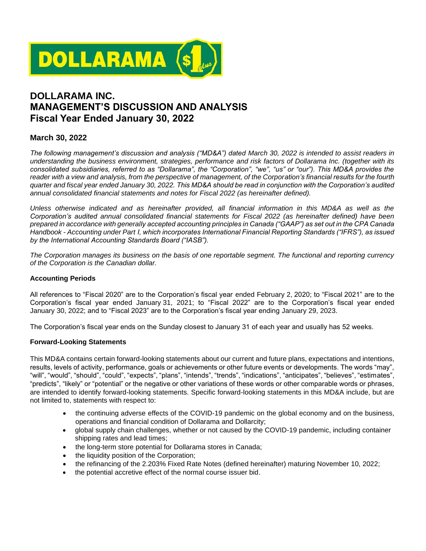

# **DOLLARAMA INC. MANAGEMENT'S DISCUSSION AND ANALYSIS Fiscal Year Ended January 30, 2022**

# **March 30, 2022**

*The following management's discussion and analysis ("MD&A") dated March 30, 2022 is intended to assist readers in understanding the business environment, strategies, performance and risk factors of Dollarama Inc. (together with its consolidated subsidiaries, referred to as "Dollarama", the "Corporation", "we", "us" or "our"). This MD&A provides the reader with a view and analysis, from the perspective of management, of the Corporation's financial results for the fourth quarter and fiscal year ended January 30, 2022. This MD&A should be read in conjunction with the Corporation's audited annual consolidated financial statements and notes for Fiscal 2022 (as hereinafter defined).*

*Unless otherwise indicated and as hereinafter provided, all financial information in this MD&A as well as the Corporation's audited annual consolidated financial statements for Fiscal 2022 (as hereinafter defined) have been prepared in accordance with generally accepted accounting principles in Canada ("GAAP") as set out in the CPA Canada Handbook - Accounting under Part I, which incorporates International Financial Reporting Standards ("IFRS"), as issued by the International Accounting Standards Board ("IASB").*

*The Corporation manages its business on the basis of one reportable segment. The functional and reporting currency of the Corporation is the Canadian dollar.*

#### **Accounting Periods**

All references to "Fiscal 2020" are to the Corporation's fiscal year ended February 2, 2020; to "Fiscal 2021" are to the Corporation's fiscal year ended January 31, 2021; to "Fiscal 2022" are to the Corporation's fiscal year ended January 30, 2022; and to "Fiscal 2023" are to the Corporation's fiscal year ending January 29, 2023.

The Corporation's fiscal year ends on the Sunday closest to January 31 of each year and usually has 52 weeks.

#### **Forward-Looking Statements**

This MD&A contains certain forward-looking statements about our current and future plans, expectations and intentions, results, levels of activity, performance, goals or achievements or other future events or developments. The words "may", "will", "would", "should", "could", "expects", "plans", "intends", "trends", "indications", "anticipates", "believes", "estimates", "predicts", "likely" or "potential" or the negative or other variations of these words or other comparable words or phrases, are intended to identify forward-looking statements. Specific forward-looking statements in this MD&A include, but are not limited to, statements with respect to:

- the continuing adverse effects of the COVID-19 pandemic on the global economy and on the business, operations and financial condition of Dollarama and Dollarcity;
- global supply chain challenges, whether or not caused by the COVID-19 pandemic, including container shipping rates and lead times;
- the long-term store potential for Dollarama stores in Canada;
- the liquidity position of the Corporation;
- the refinancing of the 2.203% Fixed Rate Notes (defined hereinafter) maturing November 10, 2022;
- the potential accretive effect of the normal course issuer bid.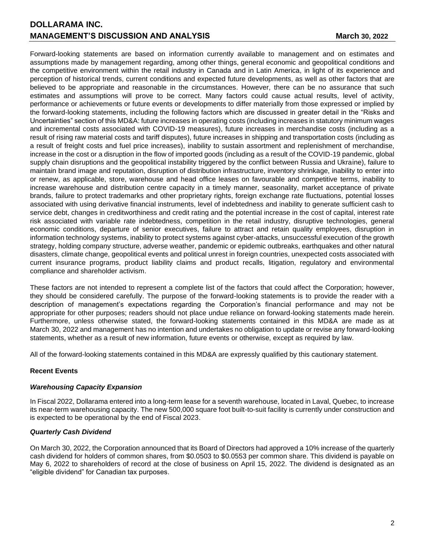Forward-looking statements are based on information currently available to management and on estimates and assumptions made by management regarding, among other things, general economic and geopolitical conditions and the competitive environment within the retail industry in Canada and in Latin America, in light of its experience and perception of historical trends, current conditions and expected future developments, as well as other factors that are believed to be appropriate and reasonable in the circumstances. However, there can be no assurance that such estimates and assumptions will prove to be correct. Many factors could cause actual results, level of activity, performance or achievements or future events or developments to differ materially from those expressed or implied by the forward-looking statements, including the following factors which are discussed in greater detail in the "Risks and Uncertainties" section of this MD&A: future increases in operating costs (including increases in statutory minimum wages and incremental costs associated with COVID-19 measures), future increases in merchandise costs (including as a result of rising raw material costs and tariff disputes), future increases in shipping and transportation costs (including as a result of freight costs and fuel price increases), inability to sustain assortment and replenishment of merchandise, increase in the cost or a disruption in the flow of imported goods (including as a result of the COVID-19 pandemic, global supply chain disruptions and the geopolitical instability triggered by the conflict between Russia and Ukraine), failure to maintain brand image and reputation, disruption of distribution infrastructure, inventory shrinkage, inability to enter into or renew, as applicable, store, warehouse and head office leases on favourable and competitive terms, inability to increase warehouse and distribution centre capacity in a timely manner, seasonality, market acceptance of private brands, failure to protect trademarks and other proprietary rights, foreign exchange rate fluctuations, potential losses associated with using derivative financial instruments, level of indebtedness and inability to generate sufficient cash to service debt, changes in creditworthiness and credit rating and the potential increase in the cost of capital, interest rate risk associated with variable rate indebtedness, competition in the retail industry, disruptive technologies, general economic conditions, departure of senior executives, failure to attract and retain quality employees, disruption in information technology systems, inability to protect systems against cyber-attacks, unsuccessful execution of the growth strategy, holding company structure, adverse weather, pandemic or epidemic outbreaks, earthquakes and other natural disasters, climate change, geopolitical events and political unrest in foreign countries, unexpected costs associated with current insurance programs, product liability claims and product recalls, litigation, regulatory and environmental compliance and shareholder activism.

These factors are not intended to represent a complete list of the factors that could affect the Corporation; however, they should be considered carefully. The purpose of the forward-looking statements is to provide the reader with a description of management's expectations regarding the Corporation's financial performance and may not be appropriate for other purposes; readers should not place undue reliance on forward-looking statements made herein. Furthermore, unless otherwise stated, the forward-looking statements contained in this MD&A are made as at March 30, 2022 and management has no intention and undertakes no obligation to update or revise any forward-looking statements, whether as a result of new information, future events or otherwise, except as required by law.

All of the forward-looking statements contained in this MD&A are expressly qualified by this cautionary statement.

## **Recent Events**

## *Warehousing Capacity Expansion*

In Fiscal 2022, Dollarama entered into a long-term lease for a seventh warehouse, located in Laval, Quebec, to increase its near-term warehousing capacity. The new 500,000 square foot built-to-suit facility is currently under construction and is expected to be operational by the end of Fiscal 2023.

## *Quarterly Cash Dividend*

On March 30, 2022, the Corporation announced that its Board of Directors had approved a 10% increase of the quarterly cash dividend for holders of common shares, from \$0.0503 to \$0.0553 per common share. This dividend is payable on May 6, 2022 to shareholders of record at the close of business on April 15, 2022. The dividend is designated as an "eligible dividend" for Canadian tax purposes.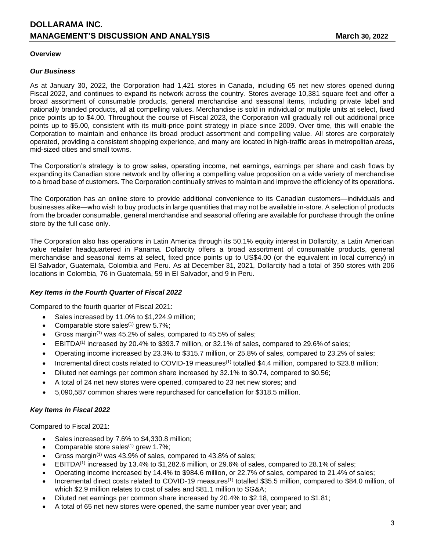#### **Overview**

#### *Our Business*

As at January 30, 2022, the Corporation had 1,421 stores in Canada, including 65 net new stores opened during Fiscal 2022, and continues to expand its network across the country. Stores average 10,381 square feet and offer a broad assortment of consumable products, general merchandise and seasonal items, including private label and nationally branded products, all at compelling values. Merchandise is sold in individual or multiple units at select, fixed price points up to \$4.00. Throughout the course of Fiscal 2023, the Corporation will gradually roll out additional price points up to \$5.00, consistent with its multi-price point strategy in place since 2009. Over time, this will enable the Corporation to maintain and enhance its broad product assortment and compelling value. All stores are corporately operated, providing a consistent shopping experience, and many are located in high-traffic areas in metropolitan areas, mid-sized cities and small towns.

The Corporation's strategy is to grow sales, operating income, net earnings, earnings per share and cash flows by expanding its Canadian store network and by offering a compelling value proposition on a wide variety of merchandise to a broad base of customers. The Corporation continually strives to maintain and improve the efficiency of its operations.

The Corporation has an online store to provide additional convenience to its Canadian customers—individuals and businesses alike—who wish to buy products in large quantities that may not be available in-store. A selection of products from the broader consumable, general merchandise and seasonal offering are available for purchase through the online store by the full case only.

The Corporation also has operations in Latin America through its 50.1% equity interest in Dollarcity, a Latin American value retailer headquartered in Panama. Dollarcity offers a broad assortment of consumable products, general merchandise and seasonal items at select, fixed price points up to US\$4.00 (or the equivalent in local currency) in El Salvador, Guatemala, Colombia and Peru. As at December 31, 2021, Dollarcity had a total of 350 stores with 206 locations in Colombia, 76 in Guatemala, 59 in El Salvador, and 9 in Peru.

#### *Key Items in the Fourth Quarter of Fiscal 2022*

Compared to the fourth quarter of Fiscal 2021:

- Sales increased by 11.0% to \$1,224.9 million;
- Comparable store sales $(1)$  grew 5.7%;
- Gross margin<sup>(1)</sup> was 45.2% of sales, compared to 45.5% of sales;
- EBITDA<sup>(1)</sup> increased by 20.4% to \$393.7 million, or 32.1% of sales, compared to 29.6% of sales;
- Operating income increased by 23.3% to \$315.7 million, or 25.8% of sales, compared to 23.2% of sales;
- Incremental direct costs related to COVID-19 measures<sup>(1)</sup> totalled \$4.4 million, compared to \$23.8 million;
- Diluted net earnings per common share increased by 32.1% to \$0.74, compared to \$0.56;
- A total of 24 net new stores were opened, compared to 23 net new stores; and
- 5,090,587 common shares were repurchased for cancellation for \$318.5 million.

## *Key Items in Fiscal 2022*

Compared to Fiscal 2021:

- Sales increased by 7.6% to \$4,330.8 million;
- Comparable store sales $(1)$  grew 1.7%;
- Gross margin<sup>(1)</sup> was 43.9% of sales, compared to 43.8% of sales;
- $EBITDA<sup>(1)</sup>$  increased by 13.4% to \$1,282.6 million, or 29.6% of sales, compared to 28.1% of sales;
- Operating income increased by 14.4% to \$984.6 million, or 22.7% of sales, compared to 21.4% of sales;
- Incremental direct costs related to COVID-19 measures<sup>(1)</sup> totalled \$35.5 million, compared to \$84.0 million, of which \$2.9 million relates to cost of sales and \$81.1 million to SG&A;
- Diluted net earnings per common share increased by 20.4% to \$2.18, compared to \$1.81;
- A total of 65 net new stores were opened, the same number year over year; and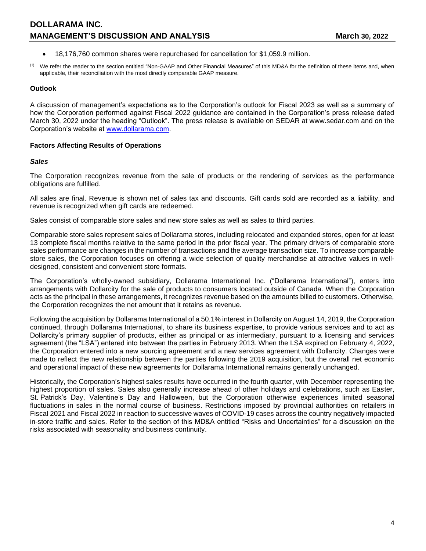- 18,176,760 common shares were repurchased for cancellation for \$1,059.9 million.
- (1) We refer the reader to the section entitled "Non-GAAP and Other Financial Measures" of this MD&A for the definition of these items and, when applicable, their reconciliation with the most directly comparable GAAP measure.

#### **Outlook**

A discussion of management's expectations as to the Corporation's outlook for Fiscal 2023 as well as a summary of how the Corporation performed against Fiscal 2022 guidance are contained in the Corporation's press release dated March 30, 2022 under the heading "Outlook". The press release is available on SEDAR at www.sedar.com and on the Corporation's website at [www.dollarama.com.](http://www.dollarama.com/)

### **Factors Affecting Results of Operations**

#### *Sales*

The Corporation recognizes revenue from the sale of products or the rendering of services as the performance obligations are fulfilled.

All sales are final. Revenue is shown net of sales tax and discounts. Gift cards sold are recorded as a liability, and revenue is recognized when gift cards are redeemed.

Sales consist of comparable store sales and new store sales as well as sales to third parties.

Comparable store sales represent sales of Dollarama stores, including relocated and expanded stores, open for at least 13 complete fiscal months relative to the same period in the prior fiscal year. The primary drivers of comparable store sales performance are changes in the number of transactions and the average transaction size. To increase comparable store sales, the Corporation focuses on offering a wide selection of quality merchandise at attractive values in welldesigned, consistent and convenient store formats.

The Corporation's wholly-owned subsidiary, Dollarama International Inc. ("Dollarama International"), enters into arrangements with Dollarcity for the sale of products to consumers located outside of Canada. When the Corporation acts as the principal in these arrangements, it recognizes revenue based on the amounts billed to customers. Otherwise, the Corporation recognizes the net amount that it retains as revenue.

Following the acquisition by Dollarama International of a 50.1% interest in Dollarcity on August 14, 2019, the Corporation continued, through Dollarama International, to share its business expertise, to provide various services and to act as Dollarcity's primary supplier of products, either as principal or as intermediary, pursuant to a licensing and services agreement (the "LSA") entered into between the parties in February 2013. When the LSA expired on February 4, 2022, the Corporation entered into a new sourcing agreement and a new services agreement with Dollarcity. Changes were made to reflect the new relationship between the parties following the 2019 acquisition, but the overall net economic and operational impact of these new agreements for Dollarama International remains generally unchanged.

Historically, the Corporation's highest sales results have occurred in the fourth quarter, with December representing the highest proportion of sales. Sales also generally increase ahead of other holidays and celebrations, such as Easter, St. Patrick's Day, Valentine's Day and Halloween, but the Corporation otherwise experiences limited seasonal fluctuations in sales in the normal course of business. Restrictions imposed by provincial authorities on retailers in Fiscal 2021 and Fiscal 2022 in reaction to successive waves of COVID-19 cases across the country negatively impacted in-store traffic and sales. Refer to the section of this MD&A entitled "Risks and Uncertainties" for a discussion on the risks associated with seasonality and business continuity.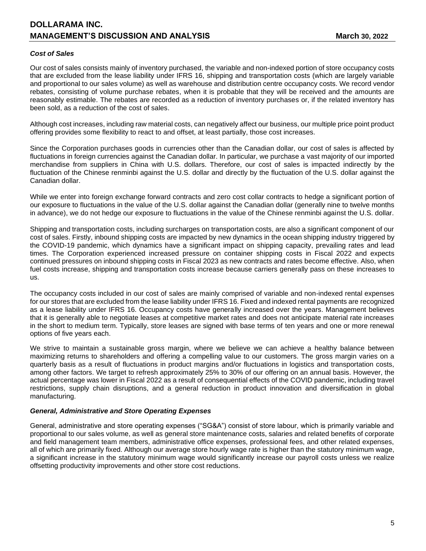### *Cost of Sales*

Our cost of sales consists mainly of inventory purchased, the variable and non-indexed portion of store occupancy costs that are excluded from the lease liability under IFRS 16, shipping and transportation costs (which are largely variable and proportional to our sales volume) as well as warehouse and distribution centre occupancy costs. We record vendor rebates, consisting of volume purchase rebates, when it is probable that they will be received and the amounts are reasonably estimable. The rebates are recorded as a reduction of inventory purchases or, if the related inventory has been sold, as a reduction of the cost of sales.

Although cost increases, including raw material costs, can negatively affect our business, our multiple price point product offering provides some flexibility to react to and offset, at least partially, those cost increases.

Since the Corporation purchases goods in currencies other than the Canadian dollar, our cost of sales is affected by fluctuations in foreign currencies against the Canadian dollar. In particular, we purchase a vast majority of our imported merchandise from suppliers in China with U.S. dollars. Therefore, our cost of sales is impacted indirectly by the fluctuation of the Chinese renminbi against the U.S. dollar and directly by the fluctuation of the U.S. dollar against the Canadian dollar.

While we enter into foreign exchange forward contracts and zero cost collar contracts to hedge a significant portion of our exposure to fluctuations in the value of the U.S. dollar against the Canadian dollar (generally nine to twelve months in advance), we do not hedge our exposure to fluctuations in the value of the Chinese renminbi against the U.S. dollar.

Shipping and transportation costs, including surcharges on transportation costs, are also a significant component of our cost of sales. Firstly, inbound shipping costs are impacted by new dynamics in the ocean shipping industry triggered by the COVID-19 pandemic, which dynamics have a significant impact on shipping capacity, prevailing rates and lead times. The Corporation experienced increased pressure on container shipping costs in Fiscal 2022 and expects continued pressures on inbound shipping costs in Fiscal 2023 as new contracts and rates become effective. Also, when fuel costs increase, shipping and transportation costs increase because carriers generally pass on these increases to us.

The occupancy costs included in our cost of sales are mainly comprised of variable and non-indexed rental expenses for our stores that are excluded from the lease liability under IFRS 16. Fixed and indexed rental payments are recognized as a lease liability under IFRS 16. Occupancy costs have generally increased over the years. Management believes that it is generally able to negotiate leases at competitive market rates and does not anticipate material rate increases in the short to medium term. Typically, store leases are signed with base terms of ten years and one or more renewal options of five years each.

We strive to maintain a sustainable gross margin, where we believe we can achieve a healthy balance between maximizing returns to shareholders and offering a compelling value to our customers. The gross margin varies on a quarterly basis as a result of fluctuations in product margins and/or fluctuations in logistics and transportation costs, among other factors. We target to refresh approximately 25% to 30% of our offering on an annual basis. However, the actual percentage was lower in Fiscal 2022 as a result of consequential effects of the COVID pandemic, including travel restrictions, supply chain disruptions, and a general reduction in product innovation and diversification in global manufacturing.

#### *General, Administrative and Store Operating Expenses*

General, administrative and store operating expenses ("SG&A") consist of store labour, which is primarily variable and proportional to our sales volume, as well as general store maintenance costs, salaries and related benefits of corporate and field management team members, administrative office expenses, professional fees, and other related expenses, all of which are primarily fixed. Although our average store hourly wage rate is higher than the statutory minimum wage, a significant increase in the statutory minimum wage would significantly increase our payroll costs unless we realize offsetting productivity improvements and other store cost reductions.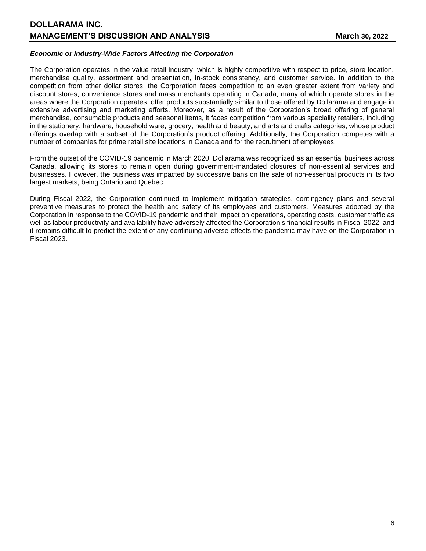## *Economic or Industry-Wide Factors Affecting the Corporation*

The Corporation operates in the value retail industry, which is highly competitive with respect to price, store location, merchandise quality, assortment and presentation, in-stock consistency, and customer service. In addition to the competition from other dollar stores, the Corporation faces competition to an even greater extent from variety and discount stores, convenience stores and mass merchants operating in Canada, many of which operate stores in the areas where the Corporation operates, offer products substantially similar to those offered by Dollarama and engage in extensive advertising and marketing efforts. Moreover, as a result of the Corporation's broad offering of general merchandise, consumable products and seasonal items, it faces competition from various speciality retailers, including in the stationery, hardware, household ware, grocery, health and beauty, and arts and crafts categories, whose product offerings overlap with a subset of the Corporation's product offering. Additionally, the Corporation competes with a number of companies for prime retail site locations in Canada and for the recruitment of employees.

From the outset of the COVID-19 pandemic in March 2020, Dollarama was recognized as an essential business across Canada, allowing its stores to remain open during government-mandated closures of non-essential services and businesses. However, the business was impacted by successive bans on the sale of non-essential products in its two largest markets, being Ontario and Quebec.

During Fiscal 2022, the Corporation continued to implement mitigation strategies, contingency plans and several preventive measures to protect the health and safety of its employees and customers. Measures adopted by the Corporation in response to the COVID-19 pandemic and their impact on operations, operating costs, customer traffic as well as labour productivity and availability have adversely affected the Corporation's financial results in Fiscal 2022, and it remains difficult to predict the extent of any continuing adverse effects the pandemic may have on the Corporation in Fiscal 2023.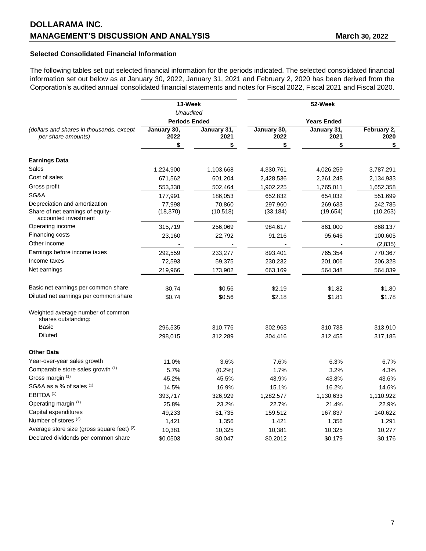# **Selected Consolidated Financial Information**

The following tables set out selected financial information for the periods indicated. The selected consolidated financial information set out below as at January 30, 2022, January 31, 2021 and February 2, 2020 has been derived from the Corporation's audited annual consolidated financial statements and notes for Fiscal 2022, Fiscal 2021 and Fiscal 2020.

|                                                                | 13-Week              |                     | 52-Week              |                      |                      |  |
|----------------------------------------------------------------|----------------------|---------------------|----------------------|----------------------|----------------------|--|
|                                                                | Unaudited            |                     | <b>Years Ended</b>   |                      |                      |  |
|                                                                | <b>Periods Ended</b> |                     |                      |                      |                      |  |
| (dollars and shares in thousands, except<br>per share amounts) | January 30,<br>2022  | January 31,<br>2021 | January 30,<br>2022  | January 31,<br>2021  | February 2,<br>2020  |  |
|                                                                | \$                   | \$                  | \$                   |                      | \$                   |  |
| <b>Earnings Data</b>                                           |                      |                     |                      |                      |                      |  |
| Sales                                                          | 1,224,900            | 1,103,668           | 4,330,761            | 4,026,259            | 3,787,291            |  |
| Cost of sales                                                  | 671,562              | 601,204             | 2,428,536            | 2,261,248            | 2,134,933            |  |
| Gross profit                                                   |                      |                     |                      |                      |                      |  |
| SG&A                                                           | 553,338              | 502,464             | 1,902,225            | 1,765,011            | 1,652,358            |  |
| Depreciation and amortization                                  | 177,991              | 186,053             | 652,832              | 654,032              | 551,699              |  |
| Share of net earnings of equity-<br>accounted investment       | 77,998<br>(18, 370)  | 70,860<br>(10, 518) | 297,960<br>(33, 184) | 269,633<br>(19, 654) | 242,785<br>(10, 263) |  |
| Operating income                                               | 315,719              | 256,069             | 984,617              | 861,000              | 868,137              |  |
| Financing costs                                                | 23,160               | 22,792              | 91,216               | 95,646               | 100,605              |  |
| Other income                                                   |                      |                     |                      |                      | (2,835)              |  |
| Earnings before income taxes                                   | 292,559              | 233,277             | 893,401              | 765,354              | 770,367              |  |
| Income taxes                                                   | 72,593               | 59,375              | 230,232              | 201,006              | 206,328              |  |
| Net earnings                                                   | 219,966              | 173,902             | 663,169              | 564,348              | 564,039              |  |
| Basic net earnings per common share                            | \$0.74               | \$0.56              | \$2.19               | \$1.82               | \$1.80               |  |
| Diluted net earnings per common share                          | \$0.74               | \$0.56              | \$2.18               | \$1.81               | \$1.78               |  |
|                                                                |                      |                     |                      |                      |                      |  |
| Weighted average number of common<br>shares outstanding:       |                      |                     |                      |                      |                      |  |
| <b>Basic</b>                                                   | 296,535              | 310,776             | 302,963              | 310,738              | 313,910              |  |
| <b>Diluted</b>                                                 | 298,015              | 312,289             | 304,416              | 312,455              | 317,185              |  |
| <b>Other Data</b>                                              |                      |                     |                      |                      |                      |  |
| Year-over-year sales growth                                    | 11.0%                | 3.6%                | 7.6%                 | 6.3%                 | 6.7%                 |  |
| Comparable store sales growth (1)                              | 5.7%                 | (0.2%)              | 1.7%                 | 3.2%                 | 4.3%                 |  |
| Gross margin (1)                                               | 45.2%                | 45.5%               | 43.9%                | 43.8%                | 43.6%                |  |
| SG&A as a % of sales (1)                                       | 14.5%                | 16.9%               | 15.1%                | 16.2%                | 14.6%                |  |
| EBITDA <sup>(1)</sup>                                          | 393,717              | 326,929             | 1,282,577            | 1,130,633            | 1,110,922            |  |
| Operating margin (1)                                           | 25.8%                | 23.2%               | 22.7%                | 21.4%                | 22.9%                |  |
| Capital expenditures                                           | 49,233               | 51,735              | 159,512              | 167,837              | 140,622              |  |
| Number of stores <sup>(2)</sup>                                | 1,421                | 1,356               | 1,421                | 1,356                | 1,291                |  |
| Average store size (gross square feet) (2)                     | 10,381               | 10,325              | 10,381               | 10,325               | 10,277               |  |
| Declared dividends per common share                            | \$0.0503             | \$0.047             | \$0.2012             | \$0.179              | \$0.176              |  |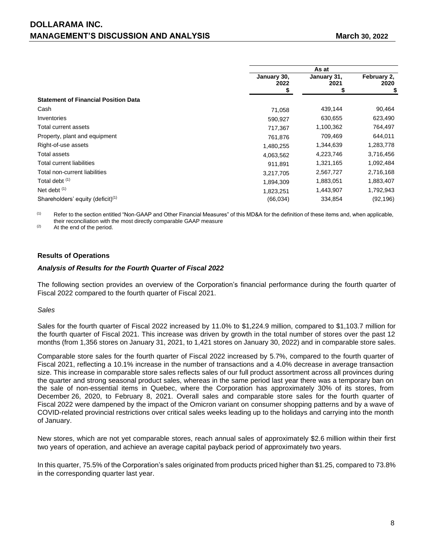|                                               |                     | As at               |                     |  |  |
|-----------------------------------------------|---------------------|---------------------|---------------------|--|--|
|                                               | January 30,<br>2022 | January 31,<br>2021 | February 2,<br>2020 |  |  |
|                                               |                     |                     | \$                  |  |  |
| <b>Statement of Financial Position Data</b>   |                     |                     |                     |  |  |
| Cash                                          | 71,058              | 439,144             | 90,464              |  |  |
| Inventories                                   | 590,927             | 630,655             | 623,490             |  |  |
| Total current assets                          | 717,367             | 1,100,362           | 764,497             |  |  |
| Property, plant and equipment                 | 761,876             | 709,469             | 644,011             |  |  |
| Right-of-use assets                           | 1,480,255           | 1,344,639           | 1,283,778           |  |  |
| <b>Total assets</b>                           | 4,063,562           | 4,223,746           | 3,716,456           |  |  |
| Total current liabilities                     | 911,891             | 1,321,165           | 1,092,484           |  |  |
| Total non-current liabilities                 | 3,217,705           | 2,567,727           | 2,716,168           |  |  |
| Total debt (1)                                | 1,894,309           | 1,883,051           | 1,883,407           |  |  |
| Net debt $(1)$                                | 1,823,251           | 1,443,907           | 1,792,943           |  |  |
| Shareholders' equity (deficit) <sup>(1)</sup> | (66, 034)           | 334,854             | (92, 196)           |  |  |

(1) Refer to the section entitled "Non-GAAP and Other Financial Measures" of this MD&A for the definition of these items and, when applicable, their reconciliation with the most directly comparable GAAP measure

(2) At the end of the period.

### **Results of Operations**

#### *Analysis of Results for the Fourth Quarter of Fiscal 2022*

The following section provides an overview of the Corporation's financial performance during the fourth quarter of Fiscal 2022 compared to the fourth quarter of Fiscal 2021.

#### *Sales*

Sales for the fourth quarter of Fiscal 2022 increased by 11.0% to \$1,224.9 million, compared to \$1,103.7 million for the fourth quarter of Fiscal 2021. This increase was driven by growth in the total number of stores over the past 12 months (from 1,356 stores on January 31, 2021, to 1,421 stores on January 30, 2022) and in comparable store sales.

Comparable store sales for the fourth quarter of Fiscal 2022 increased by 5.7%, compared to the fourth quarter of Fiscal 2021, reflecting a 10.1% increase in the number of transactions and a 4.0% decrease in average transaction size. This increase in comparable store sales reflects sales of our full product assortment across all provinces during the quarter and strong seasonal product sales, whereas in the same period last year there was a temporary ban on the sale of non-essential items in Quebec, where the Corporation has approximately 30% of its stores, from December 26, 2020, to February 8, 2021. Overall sales and comparable store sales for the fourth quarter of Fiscal 2022 were dampened by the impact of the Omicron variant on consumer shopping patterns and by a wave of COVID-related provincial restrictions over critical sales weeks leading up to the holidays and carrying into the month of January.

New stores, which are not yet comparable stores, reach annual sales of approximately \$2.6 million within their first two years of operation, and achieve an average capital payback period of approximately two years.

In this quarter, 75.5% of the Corporation's sales originated from products priced higher than \$1.25, compared to 73.8% in the corresponding quarter last year.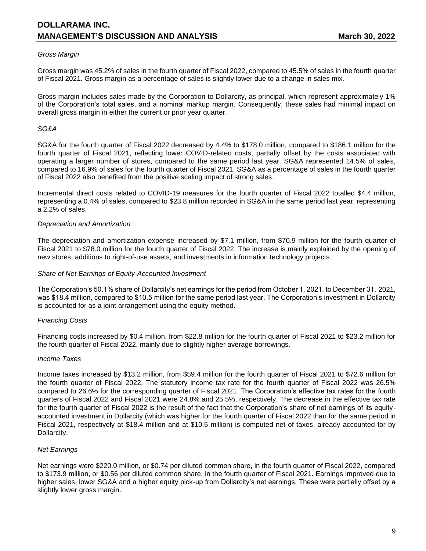### *Gross Margin*

Gross margin was 45.2% of sales in the fourth quarter of Fiscal 2022, compared to 45.5% of sales in the fourth quarter of Fiscal 2021. Gross margin as a percentage of sales is slightly lower due to a change in sales mix.

Gross margin includes sales made by the Corporation to Dollarcity, as principal, which represent approximately 1% of the Corporation's total sales, and a nominal markup margin. Consequently, these sales had minimal impact on overall gross margin in either the current or prior year quarter.

#### *SG&A*

SG&A for the fourth quarter of Fiscal 2022 decreased by 4.4% to \$178.0 million, compared to \$186.1 million for the fourth quarter of Fiscal 2021, reflecting lower COVID-related costs, partially offset by the costs associated with operating a larger number of stores, compared to the same period last year. SG&A represented 14.5% of sales, compared to 16.9% of sales for the fourth quarter of Fiscal 2021. SG&A as a percentage of sales in the fourth quarter of Fiscal 2022 also benefited from the positive scaling impact of strong sales.

Incremental direct costs related to COVID-19 measures for the fourth quarter of Fiscal 2022 totalled \$4.4 million, representing a 0.4% of sales, compared to \$23.8 million recorded in SG&A in the same period last year, representing a 2.2% of sales.

### *Depreciation and Amortization*

The depreciation and amortization expense increased by \$7.1 million, from \$70.9 million for the fourth quarter of Fiscal 2021 to \$78.0 million for the fourth quarter of Fiscal 2022. The increase is mainly explained by the opening of new stores, additions to right-of-use assets, and investments in information technology projects.

#### *Share of Net Earnings of Equity-Accounted Investment*

The Corporation's 50.1% share of Dollarcity's net earnings for the period from October 1, 2021, to December 31, 2021, was \$18.4 million, compared to \$10.5 million for the same period last year. The Corporation's investment in Dollarcity is accounted for as a joint arrangement using the equity method.

#### *Financing Costs*

Financing costs increased by \$0.4 million, from \$22.8 million for the fourth quarter of Fiscal 2021 to \$23.2 million for the fourth quarter of Fiscal 2022, mainly due to slightly higher average borrowings.

#### *Income Taxes*

Income taxes increased by \$13.2 million, from \$59.4 million for the fourth quarter of Fiscal 2021 to \$72.6 million for the fourth quarter of Fiscal 2022. The statutory income tax rate for the fourth quarter of Fiscal 2022 was 26.5% compared to 26.6% for the corresponding quarter of Fiscal 2021. The Corporation's effective tax rates for the fourth quarters of Fiscal 2022 and Fiscal 2021 were 24.8% and 25.5%, respectively. The decrease in the effective tax rate for the fourth quarter of Fiscal 2022 is the result of the fact that the Corporation's share of net earnings of its equityaccounted investment in Dollarcity (which was higher for the fourth quarter of Fiscal 2022 than for the same period in Fiscal 2021, respectively at \$18.4 million and at \$10.5 million) is computed net of taxes, already accounted for by Dollarcity.

## *Net Earnings*

Net earnings were \$220.0 million, or \$0.74 per diluted common share, in the fourth quarter of Fiscal 2022, compared to \$173.9 million, or \$0.56 per diluted common share, in the fourth quarter of Fiscal 2021. Earnings improved due to higher sales, lower SG&A and a higher equity pick-up from Dollarcity's net earnings. These were partially offset by a slightly lower gross margin.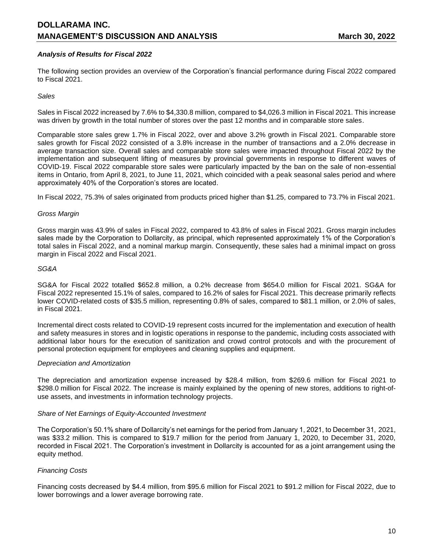## *Analysis of Results for Fiscal 2022*

The following section provides an overview of the Corporation's financial performance during Fiscal 2022 compared to Fiscal 2021.

### *Sales*

Sales in Fiscal 2022 increased by 7.6% to \$4,330.8 million, compared to \$4,026.3 million in Fiscal 2021. This increase was driven by growth in the total number of stores over the past 12 months and in comparable store sales.

Comparable store sales grew 1.7% in Fiscal 2022, over and above 3.2% growth in Fiscal 2021. Comparable store sales growth for Fiscal 2022 consisted of a 3.8% increase in the number of transactions and a 2.0% decrease in average transaction size. Overall sales and comparable store sales were impacted throughout Fiscal 2022 by the implementation and subsequent lifting of measures by provincial governments in response to different waves of COVID-19. Fiscal 2022 comparable store sales were particularly impacted by the ban on the sale of non-essential items in Ontario, from April 8, 2021, to June 11, 2021, which coincided with a peak seasonal sales period and where approximately 40% of the Corporation's stores are located.

In Fiscal 2022, 75.3% of sales originated from products priced higher than \$1.25, compared to 73.7% in Fiscal 2021.

#### *Gross Margin*

Gross margin was 43.9% of sales in Fiscal 2022, compared to 43.8% of sales in Fiscal 2021. Gross margin includes sales made by the Corporation to Dollarcity, as principal, which represented approximately 1% of the Corporation's total sales in Fiscal 2022, and a nominal markup margin. Consequently, these sales had a minimal impact on gross margin in Fiscal 2022 and Fiscal 2021.

#### *SG&A*

SG&A for Fiscal 2022 totalled \$652.8 million, a 0.2% decrease from \$654.0 million for Fiscal 2021. SG&A for Fiscal 2022 represented 15.1% of sales, compared to 16.2% of sales for Fiscal 2021. This decrease primarily reflects lower COVID-related costs of \$35.5 million, representing 0.8% of sales, compared to \$81.1 million, or 2.0% of sales, in Fiscal 2021.

Incremental direct costs related to COVID-19 represent costs incurred for the implementation and execution of health and safety measures in stores and in logistic operations in response to the pandemic, including costs associated with additional labor hours for the execution of sanitization and crowd control protocols and with the procurement of personal protection equipment for employees and cleaning supplies and equipment.

#### *Depreciation and Amortization*

The depreciation and amortization expense increased by \$28.4 million, from \$269.6 million for Fiscal 2021 to \$298.0 million for Fiscal 2022. The increase is mainly explained by the opening of new stores, additions to right-ofuse assets, and investments in information technology projects.

#### *Share of Net Earnings of Equity-Accounted Investment*

The Corporation's 50.1% share of Dollarcity's net earnings for the period from January 1, 2021, to December 31, 2021, was \$33.2 million. This is compared to \$19.7 million for the period from January 1, 2020, to December 31, 2020, recorded in Fiscal 2021. The Corporation's investment in Dollarcity is accounted for as a joint arrangement using the equity method.

#### *Financing Costs*

Financing costs decreased by \$4.4 million, from \$95.6 million for Fiscal 2021 to \$91.2 million for Fiscal 2022, due to lower borrowings and a lower average borrowing rate.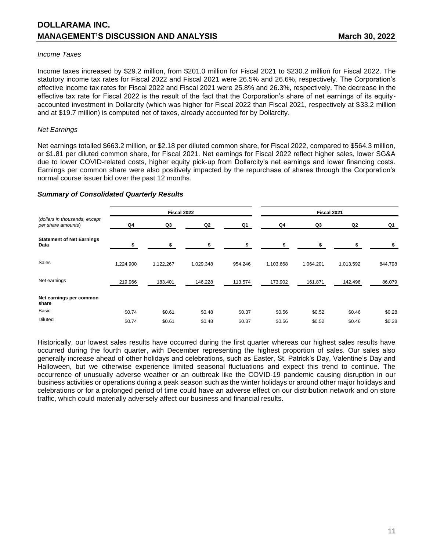#### *Income Taxes*

Income taxes increased by \$29.2 million, from \$201.0 million for Fiscal 2021 to \$230.2 million for Fiscal 2022. The statutory income tax rates for Fiscal 2022 and Fiscal 2021 were 26.5% and 26.6%, respectively. The Corporation's effective income tax rates for Fiscal 2022 and Fiscal 2021 were 25.8% and 26.3%, respectively. The decrease in the effective tax rate for Fiscal 2022 is the result of the fact that the Corporation's share of net earnings of its equityaccounted investment in Dollarcity (which was higher for Fiscal 2022 than Fiscal 2021, respectively at \$33.2 million and at \$19.7 million) is computed net of taxes, already accounted for by Dollarcity.

### *Net Earnings*

Net earnings totalled \$663.2 million, or \$2.18 per diluted common share, for Fiscal 2022, compared to \$564.3 million, or \$1.81 per diluted common share, for Fiscal 2021. Net earnings for Fiscal 2022 reflect higher sales, lower SG&A due to lower COVID-related costs, higher equity pick-up from Dollarcity's net earnings and lower financing costs. Earnings per common share were also positively impacted by the repurchase of shares through the Corporation's normal course issuer bid over the past 12 months.

### *Summary of Consolidated Quarterly Results*

|                                                     | Fiscal 2022 |           |                |         | Fiscal 2021 |                |           |         |
|-----------------------------------------------------|-------------|-----------|----------------|---------|-------------|----------------|-----------|---------|
| (dollars in thousands, except<br>per share amounts) | Q4          | Q3        | Q <sub>2</sub> | Q1      | Q4          | Q <sub>3</sub> | Q2        | Q1      |
| <b>Statement of Net Earnings</b><br>Data            |             |           | \$             |         |             |                |           |         |
| Sales                                               | 1,224,900   | 1,122,267 | 1,029,348      | 954,246 | 1,103,668   | 1,064,201      | 1,013,592 | 844,798 |
| Net earnings                                        | 219,966     | 183,401   | 146,228        | 113,574 | 173,902     | 161,871        | 142,496   | 86,079  |
| Net earnings per common<br>share                    |             |           |                |         |             |                |           |         |
| Basic                                               | \$0.74      | \$0.61    | \$0.48         | \$0.37  | \$0.56      | \$0.52         | \$0.46    | \$0.28  |
| <b>Diluted</b>                                      | \$0.74      | \$0.61    | \$0.48         | \$0.37  | \$0.56      | \$0.52         | \$0.46    | \$0.28  |

Historically, our lowest sales results have occurred during the first quarter whereas our highest sales results have occurred during the fourth quarter, with December representing the highest proportion of sales. Our sales also generally increase ahead of other holidays and celebrations, such as Easter, St. Patrick's Day, Valentine's Day and Halloween, but we otherwise experience limited seasonal fluctuations and expect this trend to continue. The occurrence of unusually adverse weather or an outbreak like the COVID-19 pandemic causing disruption in our business activities or operations during a peak season such as the winter holidays or around other major holidays and celebrations or for a prolonged period of time could have an adverse effect on our distribution network and on store traffic, which could materially adversely affect our business and financial results.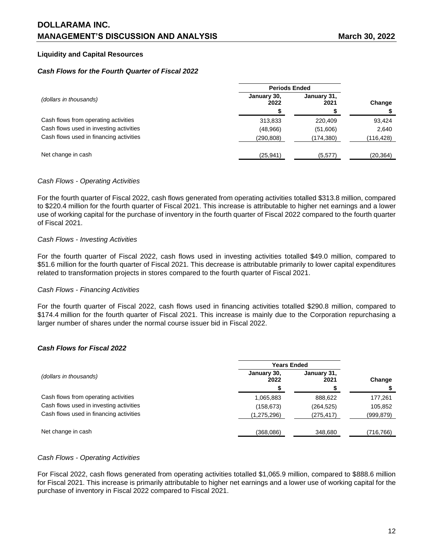# **Liquidity and Capital Resources**

## *Cash Flows for the Fourth Quarter of Fiscal 2022*

|                                         | <b>Periods Ended</b> |                     |            |
|-----------------------------------------|----------------------|---------------------|------------|
| (dollars in thousands)                  | January 30,<br>2022  | January 31,<br>2021 | Change     |
|                                         |                      |                     |            |
| Cash flows from operating activities    | 313,833              | 220.409             | 93,424     |
| Cash flows used in investing activities | (48,966)             | (51,606)            | 2,640      |
| Cash flows used in financing activities | (290,808)            | (174,380)           | (116, 428) |
| Net change in cash                      | (25, 941)            | (5,577)             | (20, 364)  |

### *Cash Flows - Operating Activities*

For the fourth quarter of Fiscal 2022, cash flows generated from operating activities totalled \$313.8 million, compared to \$220.4 million for the fourth quarter of Fiscal 2021. This increase is attributable to higher net earnings and a lower use of working capital for the purchase of inventory in the fourth quarter of Fiscal 2022 compared to the fourth quarter of Fiscal 2021.

### *Cash Flows - Investing Activities*

For the fourth quarter of Fiscal 2022, cash flows used in investing activities totalled \$49.0 million, compared to \$51.6 million for the fourth quarter of Fiscal 2021. This decrease is attributable primarily to lower capital expenditures related to transformation projects in stores compared to the fourth quarter of Fiscal 2021.

#### *Cash Flows - Financing Activities*

For the fourth quarter of Fiscal 2022, cash flows used in financing activities totalled \$290.8 million, compared to \$174.4 million for the fourth quarter of Fiscal 2021. This increase is mainly due to the Corporation repurchasing a larger number of shares under the normal course issuer bid in Fiscal 2022.

## *Cash Flows for Fiscal 2022*

|                                         | <b>Years Ended</b>  |                     |           |
|-----------------------------------------|---------------------|---------------------|-----------|
| (dollars in thousands)                  | January 30.<br>2022 | January 31,<br>2021 | Change    |
|                                         |                     |                     |           |
| Cash flows from operating activities    | 1,065,883           | 888,622             | 177,261   |
| Cash flows used in investing activities | (158, 673)          | (264, 525)          | 105,852   |
| Cash flows used in financing activities | (1,275,296)         | (275, 417)          | (999,879) |
|                                         |                     |                     |           |
| Net change in cash                      | (368,086)           | 348,680             | (716,766) |

#### *Cash Flows - Operating Activities*

For Fiscal 2022, cash flows generated from operating activities totalled \$1,065.9 million, compared to \$888.6 million for Fiscal 2021. This increase is primarily attributable to higher net earnings and a lower use of working capital for the purchase of inventory in Fiscal 2022 compared to Fiscal 2021.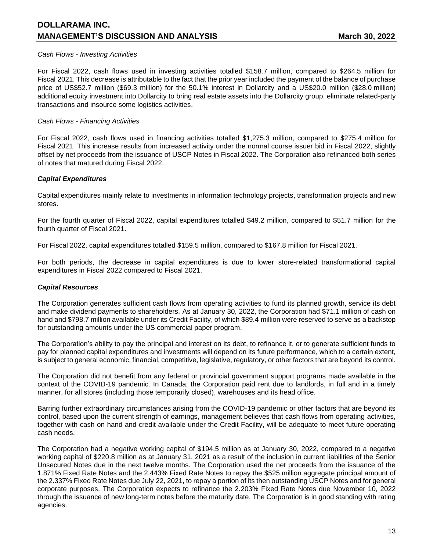### *Cash Flows - Investing Activities*

For Fiscal 2022, cash flows used in investing activities totalled \$158.7 million, compared to \$264.5 million for Fiscal 2021. This decrease is attributable to the fact that the prior year included the payment of the balance of purchase price of US\$52.7 million (\$69.3 million) for the 50.1% interest in Dollarcity and a US\$20.0 million (\$28.0 million) additional equity investment into Dollarcity to bring real estate assets into the Dollarcity group, eliminate related-party transactions and insource some logistics activities.

### *Cash Flows - Financing Activities*

For Fiscal 2022, cash flows used in financing activities totalled \$1,275.3 million, compared to \$275.4 million for Fiscal 2021. This increase results from increased activity under the normal course issuer bid in Fiscal 2022, slightly offset by net proceeds from the issuance of USCP Notes in Fiscal 2022. The Corporation also refinanced both series of notes that matured during Fiscal 2022.

### *Capital Expenditures*

Capital expenditures mainly relate to investments in information technology projects, transformation projects and new stores.

For the fourth quarter of Fiscal 2022, capital expenditures totalled \$49.2 million, compared to \$51.7 million for the fourth quarter of Fiscal 2021.

For Fiscal 2022, capital expenditures totalled \$159.5 million, compared to \$167.8 million for Fiscal 2021.

For both periods, the decrease in capital expenditures is due to lower store-related transformational capital expenditures in Fiscal 2022 compared to Fiscal 2021.

## *Capital Resources*

The Corporation generates sufficient cash flows from operating activities to fund its planned growth, service its debt and make dividend payments to shareholders. As at January 30, 2022, the Corporation had \$71.1 million of cash on hand and \$798.7 million available under its Credit Facility, of which \$89.4 million were reserved to serve as a backstop for outstanding amounts under the US commercial paper program.

The Corporation's ability to pay the principal and interest on its debt, to refinance it, or to generate sufficient funds to pay for planned capital expenditures and investments will depend on its future performance, which to a certain extent, is subject to general economic, financial, competitive, legislative, regulatory, or other factors that are beyond its control.

The Corporation did not benefit from any federal or provincial government support programs made available in the context of the COVID-19 pandemic. In Canada, the Corporation paid rent due to landlords, in full and in a timely manner, for all stores (including those temporarily closed), warehouses and its head office.

Barring further extraordinary circumstances arising from the COVID-19 pandemic or other factors that are beyond its control, based upon the current strength of earnings, management believes that cash flows from operating activities, together with cash on hand and credit available under the Credit Facility, will be adequate to meet future operating cash needs.

The Corporation had a negative working capital of \$194.5 million as at January 30, 2022, compared to a negative working capital of \$220.8 million as at January 31, 2021 as a result of the inclusion in current liabilities of the Senior Unsecured Notes due in the next twelve months. The Corporation used the net proceeds from the issuance of the 1.871% Fixed Rate Notes and the 2.443% Fixed Rate Notes to repay the \$525 million aggregate principal amount of the 2.337% Fixed Rate Notes due July 22, 2021, to repay a portion of its then outstanding USCP Notes and for general corporate purposes. The Corporation expects to refinance the 2.203% Fixed Rate Notes due November 10, 2022 through the issuance of new long-term notes before the maturity date. The Corporation is in good standing with rating agencies.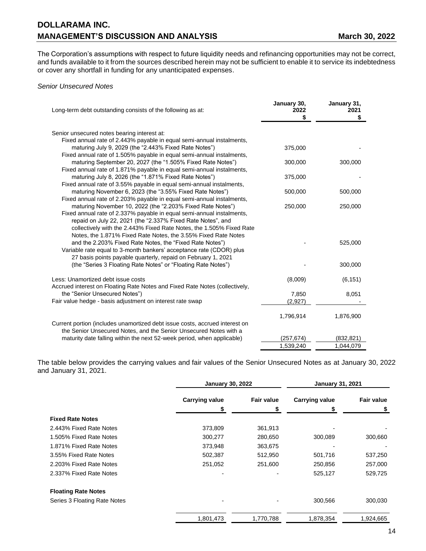The Corporation's assumptions with respect to future liquidity needs and refinancing opportunities may not be correct, and funds available to it from the sources described herein may not be sufficient to enable it to service its indebtedness or cover any shortfall in funding for any unanticipated expenses.

### *Senior Unsecured Notes*

| Long-term debt outstanding consists of the following as at:                                                                    | January 30,<br>2022<br>\$ | January 31,<br>2021<br>\$ |
|--------------------------------------------------------------------------------------------------------------------------------|---------------------------|---------------------------|
| Senior unsecured notes bearing interest at:                                                                                    |                           |                           |
| Fixed annual rate of 2.443% payable in equal semi-annual instalments,                                                          |                           |                           |
| maturing July 9, 2029 (the "2.443% Fixed Rate Notes")                                                                          | 375,000                   |                           |
| Fixed annual rate of 1.505% payable in equal semi-annual instalments,                                                          |                           |                           |
| maturing September 20, 2027 (the "1.505% Fixed Rate Notes")                                                                    | 300,000                   | 300,000                   |
| Fixed annual rate of 1.871% payable in equal semi-annual instalments,                                                          |                           |                           |
| maturing July 8, 2026 (the "1.871% Fixed Rate Notes")                                                                          | 375,000                   |                           |
| Fixed annual rate of 3.55% payable in equal semi-annual instalments,                                                           |                           |                           |
| maturing November 6, 2023 (the "3.55% Fixed Rate Notes")                                                                       | 500,000                   | 500,000                   |
| Fixed annual rate of 2.203% payable in equal semi-annual instalments,                                                          |                           |                           |
| maturing November 10, 2022 (the "2.203% Fixed Rate Notes")                                                                     | 250,000                   | 250,000                   |
| Fixed annual rate of 2.337% payable in equal semi-annual instalments,                                                          |                           |                           |
| repaid on July 22, 2021 (the "2.337% Fixed Rate Notes", and                                                                    |                           |                           |
| collectively with the 2.443% Fixed Rate Notes, the 1.505% Fixed Rate                                                           |                           |                           |
| Notes, the 1.871% Fixed Rate Notes, the 3.55% Fixed Rate Notes                                                                 |                           |                           |
| and the 2.203% Fixed Rate Notes, the "Fixed Rate Notes")                                                                       |                           | 525,000                   |
| Variable rate equal to 3-month bankers' acceptance rate (CDOR) plus                                                            |                           |                           |
| 27 basis points payable quarterly, repaid on February 1, 2021<br>(the "Series 3 Floating Rate Notes" or "Floating Rate Notes") |                           | 300,000                   |
|                                                                                                                                |                           |                           |
| Less: Unamortized debt issue costs                                                                                             | (8,009)                   | (6, 151)                  |
| Accrued interest on Floating Rate Notes and Fixed Rate Notes (collectively,                                                    |                           |                           |
| the "Senior Unsecured Notes")                                                                                                  | 7,850                     | 8,051                     |
| Fair value hedge - basis adjustment on interest rate swap                                                                      | (2,927)                   |                           |
|                                                                                                                                |                           |                           |
|                                                                                                                                | 1,796,914                 | 1,876,900                 |
| Current portion (includes unamortized debt issue costs, accrued interest on                                                    |                           |                           |
| the Senior Unsecured Notes, and the Senior Unsecured Notes with a                                                              |                           |                           |
| maturity date falling within the next 52-week period, when applicable)                                                         | (257,674)                 | (832, 821)                |
|                                                                                                                                | 1,539,240                 | 1,044,079                 |

The table below provides the carrying values and fair values of the Senior Unsecured Notes as at January 30, 2022 and January 31, 2021.

|                              | <b>January 30, 2022</b> |                   | <b>January 31, 2021</b> |                   |
|------------------------------|-------------------------|-------------------|-------------------------|-------------------|
|                              | <b>Carrying value</b>   | <b>Fair value</b> | <b>Carrying value</b>   | <b>Fair value</b> |
|                              | \$                      | \$                | S                       | S                 |
| <b>Fixed Rate Notes</b>      |                         |                   |                         |                   |
| 2.443% Fixed Rate Notes      | 373,809                 | 361,913           |                         |                   |
| 1.505% Fixed Rate Notes      | 300,277                 | 280,650           | 300,089                 | 300,660           |
| 1.871% Fixed Rate Notes      | 373,948                 | 363,675           |                         |                   |
| 3.55% Fixed Rate Notes       | 502,387                 | 512,950           | 501,716                 | 537,250           |
| 2.203% Fixed Rate Notes      | 251,052                 | 251,600           | 250,856                 | 257,000           |
| 2.337% Fixed Rate Notes      |                         |                   | 525,127                 | 529,725           |
| <b>Floating Rate Notes</b>   |                         |                   |                         |                   |
| Series 3 Floating Rate Notes | -                       |                   | 300,566                 | 300,030           |
|                              | 1,801,473               | 1,770,788         | 1,878,354               | 1,924,665         |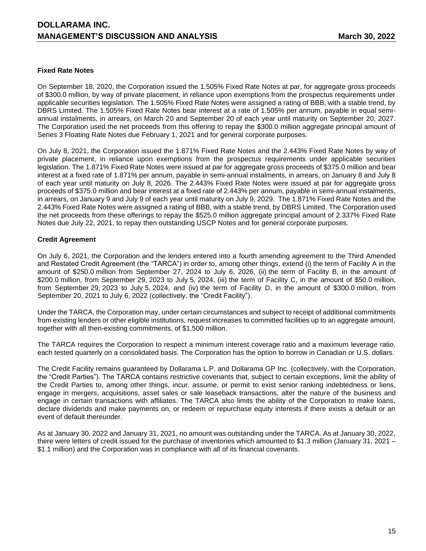### **Fixed Rate Notes**

On September 18, 2020, the Corporation issued the 1.505% Fixed Rate Notes at par, for aggregate gross proceeds of \$300.0 million, by way of private placement, in reliance upon exemptions from the prospectus requirements under applicable securities legislation. The 1.505% Fixed Rate Notes were assigned a rating of BBB, with a stable trend, by DBRS Limited. The 1.505% Fixed Rate Notes bear interest at a rate of 1.505% per annum, payable in equal semiannual instalments, in arrears, on March 20 and September 20 of each year until maturity on September 20, 2027. The Corporation used the net proceeds from this offering to repay the \$300.0 million aggregate principal amount of Series 3 Floating Rate Notes due February 1, 2021 and for general corporate purposes.

On July 8, 2021, the Corporation issued the 1.871% Fixed Rate Notes and the 2.443% Fixed Rate Notes by way of private placement, in reliance upon exemptions from the prospectus requirements under applicable securities legislation. The 1.871% Fixed Rate Notes were issued at par for aggregate gross proceeds of \$375.0 million and bear interest at a fixed rate of 1.871% per annum, payable in semi-annual instalments, in arrears, on January 8 and July 8 of each year until maturity on July 8, 2026. The 2.443% Fixed Rate Notes were issued at par for aggregate gross proceeds of \$375.0 million and bear interest at a fixed rate of 2.443% per annum, payable in semi-annual instalments, in arrears, on January 9 and July 9 of each year until maturity on July 9, 2029. The 1.871% Fixed Rate Notes and the 2.443% Fixed Rate Notes were assigned a rating of BBB, with a stable trend, by DBRS Limited. The Corporation used the net proceeds from these offerings to repay the \$525.0 million aggregate principal amount of 2.337% Fixed Rate Notes due July 22, 2021, to repay then outstanding USCP Notes and for general corporate purposes.

## **Credit Agreement**

On July 6, 2021, the Corporation and the lenders entered into a fourth amending agreement to the Third Amended and Restated Credit Agreement (the "TARCA") in order to, among other things, extend (i) the term of Facility A in the amount of \$250.0 million from September 27, 2024 to July 6, 2026, (ii) the term of Facility B, in the amount of \$200.0 million, from September 29, 2023 to July 5, 2024, (iii) the term of Facility C, in the amount of \$50.0 million, from September 29, 2023 to July 5, 2024, and (iv) the term of Facility D, in the amount of \$300.0 million, from September 20, 2021 to July 6, 2022 (collectively, the "Credit Facility").

Under the TARCA, the Corporation may, under certain circumstances and subject to receipt of additional commitments from existing lenders or other eligible institutions, request increases to committed facilities up to an aggregate amount, together with all then-existing commitments, of \$1,500 million.

The TARCA requires the Corporation to respect a minimum interest coverage ratio and a maximum leverage ratio, each tested quarterly on a consolidated basis. The Corporation has the option to borrow in Canadian or U.S. dollars.

The Credit Facility remains guaranteed by Dollarama L.P. and Dollarama GP Inc. (collectively, with the Corporation, the "Credit Parties"). The TARCA contains restrictive covenants that, subject to certain exceptions, limit the ability of the Credit Parties to, among other things, incur, assume, or permit to exist senior ranking indebtedness or liens, engage in mergers, acquisitions, asset sales or sale leaseback transactions, alter the nature of the business and engage in certain transactions with affiliates. The TARCA also limits the ability of the Corporation to make loans, declare dividends and make payments on, or redeem or repurchase equity interests if there exists a default or an event of default thereunder.

As at January 30, 2022 and January 31, 2021, no amount was outstanding under the TARCA. As at January 30, 2022, there were letters of credit issued for the purchase of inventories which amounted to \$1.3 million (January 31, 2021 – \$1.1 million) and the Corporation was in compliance with all of its financial covenants.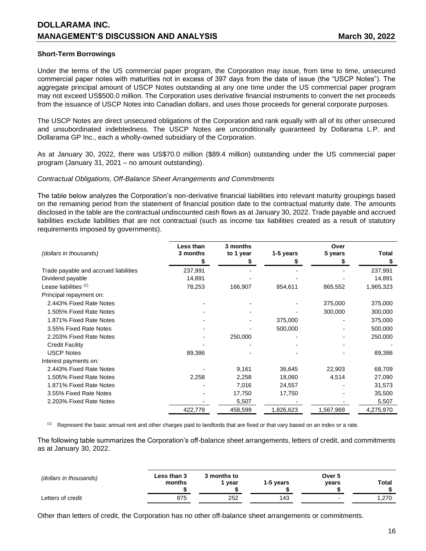### **Short-Term Borrowings**

Under the terms of the US commercial paper program, the Corporation may issue, from time to time, unsecured commercial paper notes with maturities not in excess of 397 days from the date of issue (the "USCP Notes"). The aggregate principal amount of USCP Notes outstanding at any one time under the US commercial paper program may not exceed US\$500.0 million. The Corporation uses derivative financial instruments to convert the net proceeds from the issuance of USCP Notes into Canadian dollars, and uses those proceeds for general corporate purposes.

The USCP Notes are direct unsecured obligations of the Corporation and rank equally with all of its other unsecured and unsubordinated indebtedness. The USCP Notes are unconditionally guaranteed by Dollarama L.P. and Dollarama GP Inc., each a wholly-owned subsidiary of the Corporation.

As at January 30, 2022, there was US\$70.0 million (\$89.4 million) outstanding under the US commercial paper program (January 31, 2021 – no amount outstanding).

#### *Contractual Obligations, Off-Balance Sheet Arrangements and Commitments*

The table below analyzes the Corporation's non-derivative financial liabilities into relevant maturity groupings based on the remaining period from the statement of financial position date to the contractual maturity date. The amounts disclosed in the table are the contractual undiscounted cash flows as at January 30, 2022. Trade payable and accrued liabilities exclude liabilities that are not contractual (such as income tax liabilities created as a result of statutory requirements imposed by governments).

| (dollars in thousands)                | Less than<br>3 months | 3 months<br>to 1 year | 1-5 years | Over<br>5 years | <b>Total</b> |
|---------------------------------------|-----------------------|-----------------------|-----------|-----------------|--------------|
|                                       |                       |                       |           |                 | \$           |
| Trade payable and accrued liabilities | 237,991               |                       |           |                 | 237,991      |
| Dividend payable                      | 14,891                |                       |           |                 | 14,891       |
| Lease liabilities (1)                 | 78,253                | 166,907               | 854,611   | 865,552         | 1,965,323    |
| Principal repayment on:               |                       |                       |           |                 |              |
| 2.443% Fixed Rate Notes               |                       |                       |           | 375,000         | 375,000      |
| 1.505% Fixed Rate Notes               |                       |                       |           | 300,000         | 300,000      |
| 1.871% Fixed Rate Notes               |                       |                       | 375,000   |                 | 375,000      |
| 3.55% Fixed Rate Notes                |                       |                       | 500,000   |                 | 500,000      |
| 2.203% Fixed Rate Notes               |                       | 250,000               |           |                 | 250,000      |
| <b>Credit Facility</b>                |                       |                       |           |                 |              |
| <b>USCP Notes</b>                     | 89,386                |                       |           |                 | 89,386       |
| Interest payments on:                 |                       |                       |           |                 |              |
| 2.443% Fixed Rate Notes               |                       | 9,161                 | 36,645    | 22,903          | 68,709       |
| 1.505% Fixed Rate Notes               | 2,258                 | 2,258                 | 18,060    | 4,514           | 27,090       |
| 1.871% Fixed Rate Notes               |                       | 7,016                 | 24,557    |                 | 31,573       |
| 3.55% Fixed Rate Notes                |                       | 17,750                | 17,750    |                 | 35,500       |
| 2.203% Fixed Rate Notes               |                       | 5,507                 |           |                 | 5,507        |
|                                       | 422,779               | 458,599               | 1,826,623 | 1,567,969       | 4,275,970    |

<sup>(1)</sup> Represent the basic annual rent and other charges paid to landlords that are fixed or that vary based on an index or a rate.

The following table summarizes the Corporation's off-balance sheet arrangements, letters of credit, and commitments as at January 30, 2022.

| (dollars in thousands) | Less than 3<br>months | 3 months to<br>vear | 1-5 years | Over 5<br>years | Total |
|------------------------|-----------------------|---------------------|-----------|-----------------|-------|
| Letters of credit      | 875                   | 252                 | 143       |                 | 1.270 |

Other than letters of credit, the Corporation has no other off-balance sheet arrangements or commitments.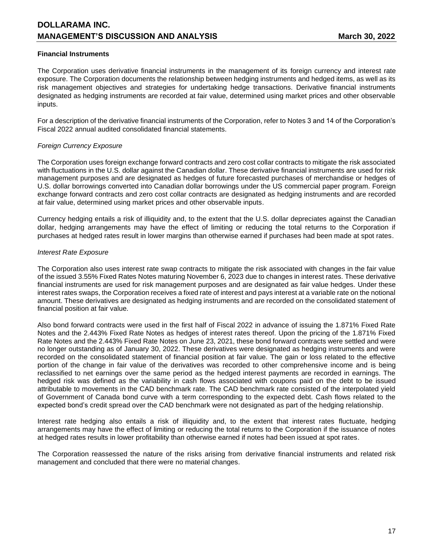## **Financial Instruments**

The Corporation uses derivative financial instruments in the management of its foreign currency and interest rate exposure. The Corporation documents the relationship between hedging instruments and hedged items, as well as its risk management objectives and strategies for undertaking hedge transactions. Derivative financial instruments designated as hedging instruments are recorded at fair value, determined using market prices and other observable inputs.

For a description of the derivative financial instruments of the Corporation, refer to Notes 3 and 14 of the Corporation's Fiscal 2022 annual audited consolidated financial statements.

## *Foreign Currency Exposure*

The Corporation uses foreign exchange forward contracts and zero cost collar contracts to mitigate the risk associated with fluctuations in the U.S. dollar against the Canadian dollar. These derivative financial instruments are used for risk management purposes and are designated as hedges of future forecasted purchases of merchandise or hedges of U.S. dollar borrowings converted into Canadian dollar borrowings under the US commercial paper program. Foreign exchange forward contracts and zero cost collar contracts are designated as hedging instruments and are recorded at fair value, determined using market prices and other observable inputs.

Currency hedging entails a risk of illiquidity and, to the extent that the U.S. dollar depreciates against the Canadian dollar, hedging arrangements may have the effect of limiting or reducing the total returns to the Corporation if purchases at hedged rates result in lower margins than otherwise earned if purchases had been made at spot rates.

### *Interest Rate Exposure*

The Corporation also uses interest rate swap contracts to mitigate the risk associated with changes in the fair value of the issued 3.55% Fixed Rates Notes maturing November 6, 2023 due to changes in interest rates. These derivative financial instruments are used for risk management purposes and are designated as fair value hedges. Under these interest rates swaps, the Corporation receives a fixed rate of interest and pays interest at a variable rate on the notional amount. These derivatives are designated as hedging instruments and are recorded on the consolidated statement of financial position at fair value.

Also bond forward contracts were used in the first half of Fiscal 2022 in advance of issuing the 1.871% Fixed Rate Notes and the 2.443% Fixed Rate Notes as hedges of interest rates thereof. Upon the pricing of the 1.871% Fixed Rate Notes and the 2.443% Fixed Rate Notes on June 23, 2021, these bond forward contracts were settled and were no longer outstanding as of January 30, 2022. These derivatives were designated as hedging instruments and were recorded on the consolidated statement of financial position at fair value. The gain or loss related to the effective portion of the change in fair value of the derivatives was recorded to other comprehensive income and is being reclassified to net earnings over the same period as the hedged interest payments are recorded in earnings. The hedged risk was defined as the variability in cash flows associated with coupons paid on the debt to be issued attributable to movements in the CAD benchmark rate. The CAD benchmark rate consisted of the interpolated yield of Government of Canada bond curve with a term corresponding to the expected debt. Cash flows related to the expected bond's credit spread over the CAD benchmark were not designated as part of the hedging relationship.

Interest rate hedging also entails a risk of illiquidity and, to the extent that interest rates fluctuate, hedging arrangements may have the effect of limiting or reducing the total returns to the Corporation if the issuance of notes at hedged rates results in lower profitability than otherwise earned if notes had been issued at spot rates.

The Corporation reassessed the nature of the risks arising from derivative financial instruments and related risk management and concluded that there were no material changes.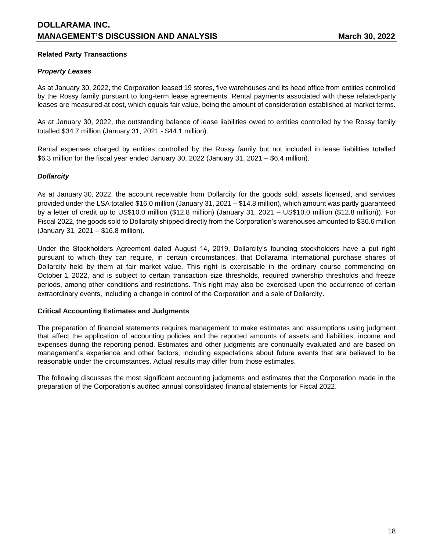## **Related Party Transactions**

## *Property Leases*

As at January 30, 2022, the Corporation leased 19 stores, five warehouses and its head office from entities controlled by the Rossy family pursuant to long-term lease agreements. Rental payments associated with these related-party leases are measured at cost, which equals fair value, being the amount of consideration established at market terms.

As at January 30, 2022, the outstanding balance of lease liabilities owed to entities controlled by the Rossy family totalled \$34.7 million (January 31, 2021 - \$44.1 million).

Rental expenses charged by entities controlled by the Rossy family but not included in lease liabilities totalled \$6.3 million for the fiscal year ended January 30, 2022 (January 31, 2021 – \$6.4 million).

## *Dollarcity*

As at January 30, 2022, the account receivable from Dollarcity for the goods sold, assets licensed, and services provided under the LSA totalled \$16.0 million (January 31, 2021 – \$14.8 million), which amount was partly guaranteed by a letter of credit up to US\$10.0 million (\$12.8 million) (January 31, 2021 – US\$10.0 million (\$12.8 million)). For Fiscal 2022, the goods sold to Dollarcity shipped directly from the Corporation's warehouses amounted to \$36.6 million (January 31, 2021 – \$16.8 million).

Under the Stockholders Agreement dated August 14, 2019, Dollarcity's founding stockholders have a put right pursuant to which they can require, in certain circumstances, that Dollarama International purchase shares of Dollarcity held by them at fair market value. This right is exercisable in the ordinary course commencing on October 1, 2022, and is subject to certain transaction size thresholds, required ownership thresholds and freeze periods, among other conditions and restrictions. This right may also be exercised upon the occurrence of certain extraordinary events, including a change in control of the Corporation and a sale of Dollarcity.

#### **Critical Accounting Estimates and Judgments**

The preparation of financial statements requires management to make estimates and assumptions using judgment that affect the application of accounting policies and the reported amounts of assets and liabilities, income and expenses during the reporting period. Estimates and other judgments are continually evaluated and are based on management's experience and other factors, including expectations about future events that are believed to be reasonable under the circumstances. Actual results may differ from those estimates.

The following discusses the most significant accounting judgments and estimates that the Corporation made in the preparation of the Corporation's audited annual consolidated financial statements for Fiscal 2022.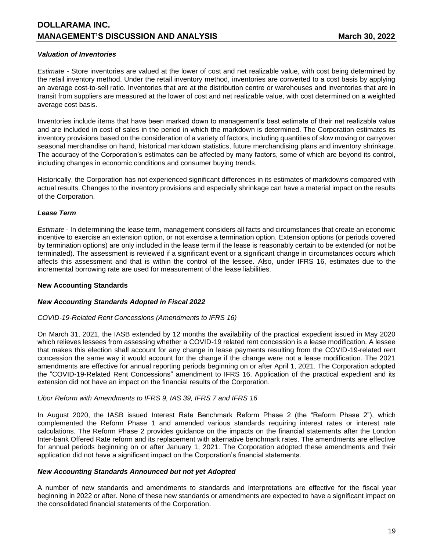## *Valuation of Inventories*

*Estimate -* Store inventories are valued at the lower of cost and net realizable value, with cost being determined by the retail inventory method. Under the retail inventory method, inventories are converted to a cost basis by applying an average cost-to-sell ratio. Inventories that are at the distribution centre or warehouses and inventories that are in transit from suppliers are measured at the lower of cost and net realizable value, with cost determined on a weighted average cost basis.

Inventories include items that have been marked down to management's best estimate of their net realizable value and are included in cost of sales in the period in which the markdown is determined. The Corporation estimates its inventory provisions based on the consideration of a variety of factors, including quantities of slow moving or carryover seasonal merchandise on hand, historical markdown statistics, future merchandising plans and inventory shrinkage. The accuracy of the Corporation's estimates can be affected by many factors, some of which are beyond its control, including changes in economic conditions and consumer buying trends.

Historically, the Corporation has not experienced significant differences in its estimates of markdowns compared with actual results. Changes to the inventory provisions and especially shrinkage can have a material impact on the results of the Corporation.

# *Lease Term*

*Estimate* - In determining the lease term, management considers all facts and circumstances that create an economic incentive to exercise an extension option, or not exercise a termination option. Extension options (or periods covered by termination options) are only included in the lease term if the lease is reasonably certain to be extended (or not be terminated). The assessment is reviewed if a significant event or a significant change in circumstances occurs which affects this assessment and that is within the control of the lessee. Also, under IFRS 16, estimates due to the incremental borrowing rate are used for measurement of the lease liabilities.

## **New Accounting Standards**

## *New Accounting Standards Adopted in Fiscal 2022*

## *COVID-19-Related Rent Concessions (Amendments to IFRS 16)*

On March 31, 2021, the IASB extended by 12 months the availability of the practical expedient issued in May 2020 which relieves lessees from assessing whether a COVID-19 related rent concession is a lease modification. A lessee that makes this election shall account for any change in lease payments resulting from the COVID-19-related rent concession the same way it would account for the change if the change were not a lease modification. The 2021 amendments are effective for annual reporting periods beginning on or after April 1, 2021. The Corporation adopted the "COVID-19-Related Rent Concessions" amendment to IFRS 16. Application of the practical expedient and its extension did not have an impact on the financial results of the Corporation.

## *Libor Reform with Amendments to IFRS 9, IAS 39, IFRS 7 and IFRS 16*

In August 2020, the IASB issued Interest Rate Benchmark Reform Phase 2 (the "Reform Phase 2"), which complemented the Reform Phase 1 and amended various standards requiring interest rates or interest rate calculations. The Reform Phase 2 provides guidance on the impacts on the financial statements after the London Inter-bank Offered Rate reform and its replacement with alternative benchmark rates. The amendments are effective for annual periods beginning on or after January 1, 2021. The Corporation adopted these amendments and their application did not have a significant impact on the Corporation's financial statements.

## *New Accounting Standards Announced but not yet Adopted*

A number of new standards and amendments to standards and interpretations are effective for the fiscal year beginning in 2022 or after. None of these new standards or amendments are expected to have a significant impact on the consolidated financial statements of the Corporation.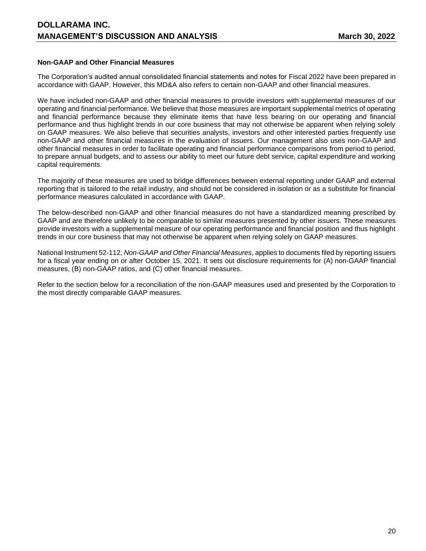### **Non-GAAP and Other Financial Measures**

The Corporation's audited annual consolidated financial statements and notes for Fiscal 2022 have been prepared in accordance with GAAP. However, this MD&A also refers to certain non-GAAP and other financial measures.

We have included non-GAAP and other financial measures to provide investors with supplemental measures of our operating and financial performance. We believe that those measures are important supplemental metrics of operating and financial performance because they eliminate items that have less bearing on our operating and financial performance and thus highlight trends in our core business that may not otherwise be apparent when relying solely on GAAP measures. We also believe that securities analysts, investors and other interested parties frequently use non-GAAP and other financial measures in the evaluation of issuers. Our management also uses non-GAAP and other financial measures in order to facilitate operating and financial performance comparisons from period to period, to prepare annual budgets, and to assess our ability to meet our future debt service, capital expenditure and working capital requirements.

The majority of these measures are used to bridge differences between external reporting under GAAP and external reporting that is tailored to the retail industry, and should not be considered in isolation or as a substitute for financial performance measures calculated in accordance with GAAP.

The below-described non-GAAP and other financial measures do not have a standardized meaning prescribed by GAAP and are therefore unlikely to be comparable to similar measures presented by other issuers. These measures provide investors with a supplemental measure of our operating performance and financial position and thus highlight trends in our core business that may not otherwise be apparent when relying solely on GAAP measures.

National Instrument 52-112, *Non-GAAP and Other Financial Measures*, applies to documents filed by reporting issuers for a fiscal year ending on or after October 15, 2021. It sets out disclosure requirements for (A) non-GAAP financial measures, (B) non-GAAP ratios, and (C) other financial measures.

Refer to the section below for a reconciliation of the non-GAAP measures used and presented by the Corporation to the most directly comparable GAAP measures.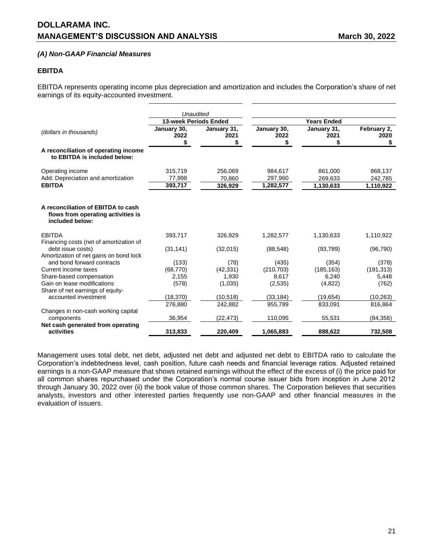## *(A) Non-GAAP Financial Measures*

#### **EBITDA**

EBITDA represents operating income plus depreciation and amortization and includes the Corporation's share of net earnings of its equity-accounted investment.

|                                                                                             | Unaudited                    |                              |                                 |                                 |                                 |
|---------------------------------------------------------------------------------------------|------------------------------|------------------------------|---------------------------------|---------------------------------|---------------------------------|
|                                                                                             | <b>13-week Periods Ended</b> |                              |                                 | <b>Years Ended</b>              |                                 |
| (dollars in thousands)                                                                      | January 30,<br>2022<br>\$    | January 31,<br>2021<br>\$    | January 30,<br>2022<br>\$       | January 31,<br>2021             | February 2,<br>2020<br>\$       |
| A reconciliation of operating income<br>to EBITDA is included below:                        |                              |                              |                                 |                                 |                                 |
| Operating income<br>Add: Depreciation and amortization<br><b>EBITDA</b>                     | 315,719<br>77,998<br>393,717 | 256,069<br>70,860<br>326,929 | 984,617<br>297,960<br>1,282,577 | 861,000<br>269,633<br>1,130,633 | 868,137<br>242,785<br>1,110,922 |
| A reconciliation of EBITDA to cash<br>flows from operating activities is<br>included below: |                              |                              |                                 |                                 |                                 |
| <b>EBITDA</b><br>Financing costs (net of amortization of                                    | 393,717                      | 326,929                      | 1,282,577                       | 1,130,633                       | 1,110,922                       |
| debt issue costs)<br>Amortization of net gains on bond lock                                 | (31, 141)                    | (32,015)                     | (88, 548)                       | (93, 789)                       | (96, 790)                       |
| and bond forward contracts                                                                  | (133)                        | (78)                         | (435)                           | (354)                           | (378)                           |
| Current income taxes                                                                        | (68, 770)                    | (42, 331)                    | (210, 703)                      | (185, 163)                      | (191, 313)                      |
| Share-based compensation                                                                    | 2,155                        | 1,930                        | 8,617                           | 6,240                           | 5,448                           |
| Gain on lease modifications                                                                 | (578)                        | (1,035)                      | (2,535)                         | (4,822)                         | (762)                           |
| Share of net earnings of equity-                                                            |                              |                              |                                 |                                 |                                 |
| accounted investment                                                                        | (18, 370)                    | (10, 518)                    | (33, 184)                       | (19, 654)                       | (10, 263)                       |
|                                                                                             | 276,880                      | 242,882                      | 955,789                         | 833,091                         | 816,864                         |
| Changes in non-cash working capital<br>components                                           | 36,954                       | (22,473)                     | 110,095                         | 55,531                          | (84, 356)                       |
| Net cash generated from operating                                                           |                              |                              |                                 |                                 |                                 |
| activities                                                                                  | 313,833                      | 220,409                      | 1,065,883                       | 888,622                         | 732,508                         |

Management uses total debt, net debt, adjusted net debt and adjusted net debt to EBITDA ratio to calculate the Corporation's indebtedness level, cash position, future cash needs and financial leverage ratios. Adjusted retained earnings is a non-GAAP measure that shows retained earnings without the effect of the excess of (i) the price paid for all common shares repurchased under the Corporation's normal course issuer bids from inception in June 2012 through January 30, 2022 over (ii) the book value of those common shares. The Corporation believes that securities analysts, investors and other interested parties frequently use non-GAAP and other financial measures in the evaluation of issuers.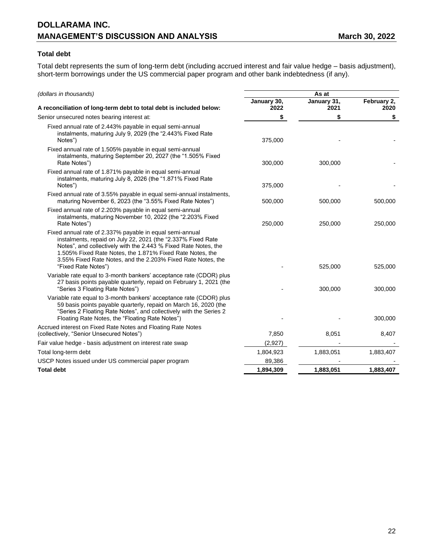# **Total debt**

Total debt represents the sum of long-term debt (including accrued interest and fair value hedge – basis adjustment), short-term borrowings under the US commercial paper program and other bank indebtedness (if any).

| (dollars in thousands)                                                                                                                                                                                                                                                                                                                          | As at               |                     |                     |
|-------------------------------------------------------------------------------------------------------------------------------------------------------------------------------------------------------------------------------------------------------------------------------------------------------------------------------------------------|---------------------|---------------------|---------------------|
| A reconciliation of long-term debt to total debt is included below:                                                                                                                                                                                                                                                                             | January 30,<br>2022 | January 31,<br>2021 | February 2,<br>2020 |
| Senior unsecured notes bearing interest at:                                                                                                                                                                                                                                                                                                     | \$                  | \$                  | \$                  |
| Fixed annual rate of 2.443% payable in equal semi-annual<br>instalments, maturing July 9, 2029 (the "2.443% Fixed Rate<br>Notes")                                                                                                                                                                                                               | 375,000             |                     |                     |
| Fixed annual rate of 1.505% payable in equal semi-annual<br>instalments, maturing September 20, 2027 (the "1.505% Fixed<br>Rate Notes")                                                                                                                                                                                                         | 300,000             | 300,000             |                     |
| Fixed annual rate of 1.871% payable in equal semi-annual<br>instalments, maturing July 8, 2026 (the "1.871% Fixed Rate<br>Notes")                                                                                                                                                                                                               | 375,000             |                     |                     |
| Fixed annual rate of 3.55% payable in equal semi-annual instalments,<br>maturing November 6, 2023 (the "3.55% Fixed Rate Notes")                                                                                                                                                                                                                | 500,000             | 500,000             | 500,000             |
| Fixed annual rate of 2.203% payable in equal semi-annual<br>instalments, maturing November 10, 2022 (the "2.203% Fixed<br>Rate Notes")                                                                                                                                                                                                          | 250,000             | 250,000             | 250,000             |
| Fixed annual rate of 2.337% payable in equal semi-annual<br>instalments, repaid on July 22, 2021 (the "2.337% Fixed Rate<br>Notes", and collectively with the 2.443 % Fixed Rate Notes, the<br>1.505% Fixed Rate Notes, the 1.871% Fixed Rate Notes, the<br>3.55% Fixed Rate Notes, and the 2.203% Fixed Rate Notes, the<br>"Fixed Rate Notes") |                     | 525,000             | 525,000             |
| Variable rate equal to 3-month bankers' acceptance rate (CDOR) plus<br>27 basis points payable quarterly, repaid on February 1, 2021 (the<br>"Series 3 Floating Rate Notes")                                                                                                                                                                    |                     | 300,000             | 300,000             |
| Variable rate equal to 3-month bankers' acceptance rate (CDOR) plus<br>59 basis points payable quarterly, repaid on March 16, 2020 (the<br>"Series 2 Floating Rate Notes", and collectively with the Series 2<br>Floating Rate Notes, the "Floating Rate Notes")                                                                                |                     |                     | 300,000             |
| Accrued interest on Fixed Rate Notes and Floating Rate Notes<br>(collectively, "Senior Unsecured Notes")                                                                                                                                                                                                                                        | 7,850               | 8,051               | 8,407               |
| Fair value hedge - basis adjustment on interest rate swap                                                                                                                                                                                                                                                                                       | (2,927)             |                     |                     |
| Total long-term debt                                                                                                                                                                                                                                                                                                                            | 1,804,923           | 1,883,051           | 1,883,407           |
| USCP Notes issued under US commercial paper program                                                                                                                                                                                                                                                                                             | 89,386              |                     |                     |
| <b>Total debt</b>                                                                                                                                                                                                                                                                                                                               | 1,894,309           | 1,883,051           | 1,883,407           |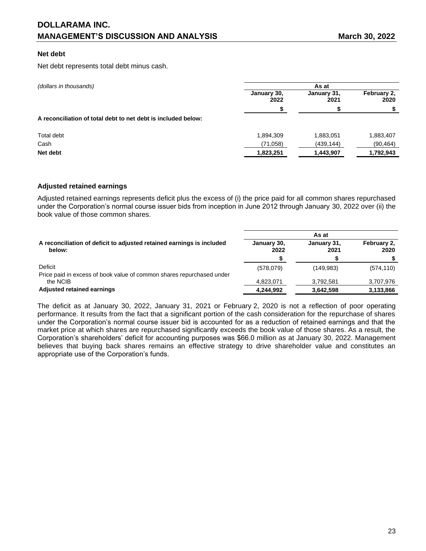### **Net debt**

Net debt represents total debt minus cash.

| (dollars in thousands)                                        |                     | As at               |                     |
|---------------------------------------------------------------|---------------------|---------------------|---------------------|
|                                                               | January 30,<br>2022 | January 31,<br>2021 | February 2.<br>2020 |
|                                                               |                     |                     |                     |
| A reconciliation of total debt to net debt is included below: |                     |                     |                     |
| Total debt                                                    | 1,894,309           | 1,883,051           | 1,883,407           |
| Cash                                                          | (71,058)            | (439, 144)          | (90, 464)           |
| Net debt                                                      | 1,823,251           | 1,443,907           | 1,792,943           |

### **Adjusted retained earnings**

Adjusted retained earnings represents deficit plus the excess of (i) the price paid for all common shares repurchased under the Corporation's normal course issuer bids from inception in June 2012 through January 30, 2022 over (ii) the book value of those common shares.

|                                                                                 | As at               |                     |                     |  |
|---------------------------------------------------------------------------------|---------------------|---------------------|---------------------|--|
| A reconciliation of deficit to adjusted retained earnings is included<br>below: | January 30,<br>2022 | January 31,<br>2021 | February 2,<br>2020 |  |
|                                                                                 |                     |                     |                     |  |
| Deficit                                                                         | (578,079)           | (149, 983)          | (574, 110)          |  |
| Price paid in excess of book value of common shares repurchased under           |                     |                     |                     |  |
| the NCIB                                                                        | 4,823,071           | 3.792.581           | 3,707,976           |  |
| <b>Adjusted retained earnings</b>                                               | 4,244,992           | 3,642,598           | 3,133,866           |  |

The deficit as at January 30, 2022, January 31, 2021 or February 2, 2020 is not a reflection of poor operating performance. It results from the fact that a significant portion of the cash consideration for the repurchase of shares under the Corporation's normal course issuer bid is accounted for as a reduction of retained earnings and that the market price at which shares are repurchased significantly exceeds the book value of those shares. As a result, the Corporation's shareholders' deficit for accounting purposes was \$66.0 million as at January 30, 2022. Management believes that buying back shares remains an effective strategy to drive shareholder value and constitutes an appropriate use of the Corporation's funds.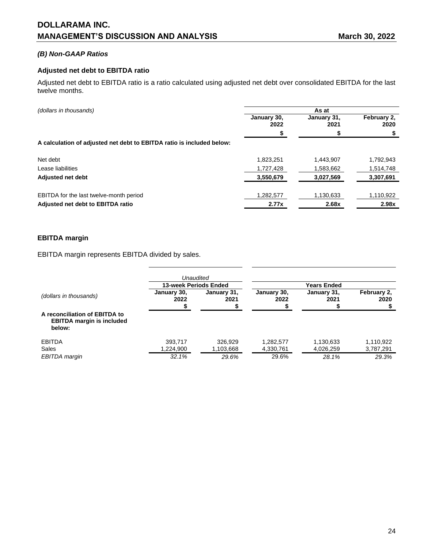# *(B) Non-GAAP Ratios*

## **Adjusted net debt to EBITDA ratio**

Adjusted net debt to EBITDA ratio is a ratio calculated using adjusted net debt over consolidated EBITDA for the last twelve months.

| (dollars in thousands)                                                |                     |                     | As at               |  |
|-----------------------------------------------------------------------|---------------------|---------------------|---------------------|--|
|                                                                       | January 30,<br>2022 | January 31,<br>2021 | February 2,<br>2020 |  |
|                                                                       | S                   |                     |                     |  |
| A calculation of adjusted net debt to EBITDA ratio is included below: |                     |                     |                     |  |
| Net debt                                                              | 1,823,251           | 1,443,907           | 1,792,943           |  |
| Lease liabilities                                                     | 1,727,428           | 1,583,662           | 1,514,748           |  |
| <b>Adjusted net debt</b>                                              | 3,550,679           | 3,027,569           | 3,307,691           |  |
| EBITDA for the last twelve-month period                               | 1,282,577           | 1,130,633           | 1,110,922           |  |
| Adjusted net debt to EBITDA ratio                                     | 2.77x               | 2.68x               | 2.98x               |  |

# **EBITDA margin**

EBITDA margin represents EBITDA divided by sales.

|                                                                             | <b>13-week Periods Ended</b> | Unaudited            |                        | Years Ended            |                        |
|-----------------------------------------------------------------------------|------------------------------|----------------------|------------------------|------------------------|------------------------|
| (dollars in thousands)                                                      | January 30,<br>2022          | January 31,<br>2021  | January 30,<br>2022    | January 31,<br>2021    | February 2.<br>2020    |
| A reconciliation of EBITDA to<br><b>EBITDA margin is included</b><br>below: |                              |                      |                        |                        |                        |
| <b>EBITDA</b><br>Sales                                                      | 393,717<br>1,224,900         | 326.929<br>1,103,668 | 1,282,577<br>4,330,761 | 1,130,633<br>4,026,259 | 1,110,922<br>3,787,291 |
| EBITDA margin                                                               | 32.1%                        | 29.6%                | 29.6%                  | 28.1%                  | 29.3%                  |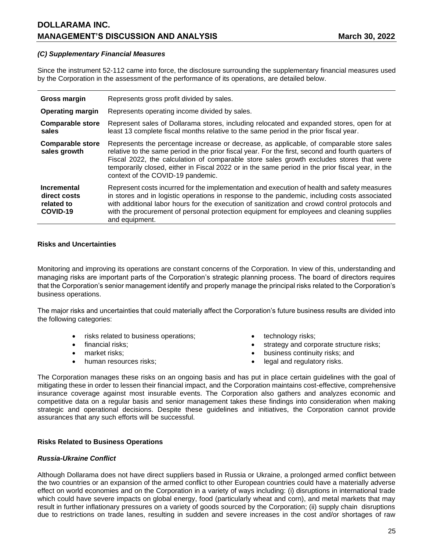### *(C) Supplementary Financial Measures*

Since the instrument 52-112 came into force, the disclosure surrounding the supplementary financial measures used by the Corporation in the assessment of the performance of its operations, are detailed below.

| <b>Gross margin</b>                                          | Represents gross profit divided by sales.                                                                                                                                                                                                                                                                                                                                                                                          |
|--------------------------------------------------------------|------------------------------------------------------------------------------------------------------------------------------------------------------------------------------------------------------------------------------------------------------------------------------------------------------------------------------------------------------------------------------------------------------------------------------------|
| <b>Operating margin</b>                                      | Represents operating income divided by sales.                                                                                                                                                                                                                                                                                                                                                                                      |
| <b>Comparable store</b>                                      | Represent sales of Dollarama stores, including relocated and expanded stores, open for at                                                                                                                                                                                                                                                                                                                                          |
| sales                                                        | least 13 complete fiscal months relative to the same period in the prior fiscal year.                                                                                                                                                                                                                                                                                                                                              |
| <b>Comparable store</b><br>sales growth                      | Represents the percentage increase or decrease, as applicable, of comparable store sales<br>relative to the same period in the prior fiscal year. For the first, second and fourth quarters of<br>Fiscal 2022, the calculation of comparable store sales growth excludes stores that were<br>temporarily closed, either in Fiscal 2022 or in the same period in the prior fiscal year, in the<br>context of the COVID-19 pandemic. |
| <b>Incremental</b><br>direct costs<br>related to<br>COVID-19 | Represent costs incurred for the implementation and execution of health and safety measures<br>in stores and in logistic operations in response to the pandemic, including costs associated<br>with additional labor hours for the execution of sanitization and crowd control protocols and<br>with the procurement of personal protection equipment for employees and cleaning supplies<br>and equipment.                        |

#### **Risks and Uncertainties**

Monitoring and improving its operations are constant concerns of the Corporation. In view of this, understanding and managing risks are important parts of the Corporation's strategic planning process. The board of directors requires that the Corporation's senior management identify and properly manage the principal risks related to the Corporation's business operations.

The major risks and uncertainties that could materially affect the Corporation's future business results are divided into the following categories:

- risks related to business operations;  $\bullet$  technology risks;
- 
- 
- 
- 
- financial risks; example and the strategy and corporate structure risks;
- market risks; business continuity risks; and
- human resources risks;  $\bullet$  legal and regulatory risks.

The Corporation manages these risks on an ongoing basis and has put in place certain guidelines with the goal of mitigating these in order to lessen their financial impact, and the Corporation maintains cost-effective, comprehensive insurance coverage against most insurable events. The Corporation also gathers and analyzes economic and competitive data on a regular basis and senior management takes these findings into consideration when making strategic and operational decisions. Despite these guidelines and initiatives, the Corporation cannot provide assurances that any such efforts will be successful.

## **Risks Related to Business Operations**

#### *Russia-Ukraine Conflict*

Although Dollarama does not have direct suppliers based in Russia or Ukraine, a prolonged armed conflict between the two countries or an expansion of the armed conflict to other European countries could have a materially adverse effect on world economies and on the Corporation in a variety of ways including: (i) disruptions in international trade which could have severe impacts on global energy, food (particularly wheat and corn), and metal markets that may result in further inflationary pressures on a variety of goods sourced by the Corporation; (ii) supply chain disruptions due to restrictions on trade lanes, resulting in sudden and severe increases in the cost and/or shortages of raw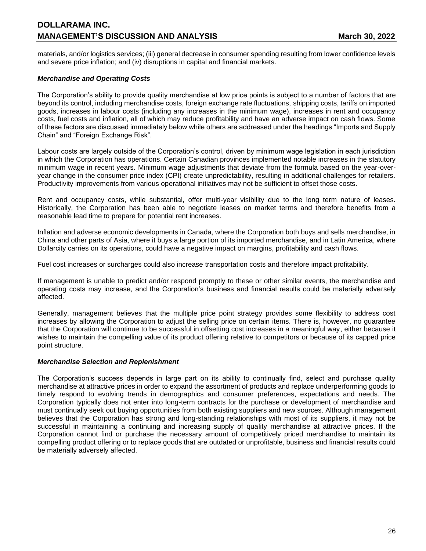materials, and/or logistics services; (iii) general decrease in consumer spending resulting from lower confidence levels and severe price inflation; and (iv) disruptions in capital and financial markets.

# *Merchandise and Operating Costs*

The Corporation's ability to provide quality merchandise at low price points is subject to a number of factors that are beyond its control, including merchandise costs, foreign exchange rate fluctuations, shipping costs, tariffs on imported goods, increases in labour costs (including any increases in the minimum wage), increases in rent and occupancy costs, fuel costs and inflation, all of which may reduce profitability and have an adverse impact on cash flows. Some of these factors are discussed immediately below while others are addressed under the headings "Imports and Supply Chain" and "Foreign Exchange Risk".

Labour costs are largely outside of the Corporation's control, driven by minimum wage legislation in each jurisdiction in which the Corporation has operations. Certain Canadian provinces implemented notable increases in the statutory minimum wage in recent years. Minimum wage adjustments that deviate from the formula based on the year-overyear change in the consumer price index (CPI) create unpredictability, resulting in additional challenges for retailers. Productivity improvements from various operational initiatives may not be sufficient to offset those costs.

Rent and occupancy costs, while substantial, offer multi-year visibility due to the long term nature of leases. Historically, the Corporation has been able to negotiate leases on market terms and therefore benefits from a reasonable lead time to prepare for potential rent increases.

Inflation and adverse economic developments in Canada, where the Corporation both buys and sells merchandise, in China and other parts of Asia, where it buys a large portion of its imported merchandise, and in Latin America, where Dollarcity carries on its operations, could have a negative impact on margins, profitability and cash flows.

Fuel cost increases or surcharges could also increase transportation costs and therefore impact profitability.

If management is unable to predict and/or respond promptly to these or other similar events, the merchandise and operating costs may increase, and the Corporation's business and financial results could be materially adversely affected.

Generally, management believes that the multiple price point strategy provides some flexibility to address cost increases by allowing the Corporation to adjust the selling price on certain items. There is, however, no guarantee that the Corporation will continue to be successful in offsetting cost increases in a meaningful way, either because it wishes to maintain the compelling value of its product offering relative to competitors or because of its capped price point structure.

## *Merchandise Selection and Replenishment*

The Corporation's success depends in large part on its ability to continually find, select and purchase quality merchandise at attractive prices in order to expand the assortment of products and replace underperforming goods to timely respond to evolving trends in demographics and consumer preferences, expectations and needs. The Corporation typically does not enter into long-term contracts for the purchase or development of merchandise and must continually seek out buying opportunities from both existing suppliers and new sources. Although management believes that the Corporation has strong and long-standing relationships with most of its suppliers, it may not be successful in maintaining a continuing and increasing supply of quality merchandise at attractive prices. If the Corporation cannot find or purchase the necessary amount of competitively priced merchandise to maintain its compelling product offering or to replace goods that are outdated or unprofitable, business and financial results could be materially adversely affected.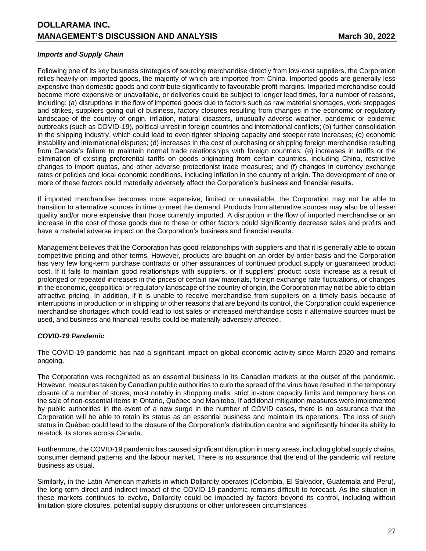## *Imports and Supply Chain*

Following one of its key business strategies of sourcing merchandise directly from low-cost suppliers, the Corporation relies heavily on imported goods, the majority of which are imported from China. Imported goods are generally less expensive than domestic goods and contribute significantly to favourable profit margins. Imported merchandise could become more expensive or unavailable, or deliveries could be subject to longer lead times, for a number of reasons, including: (a) disruptions in the flow of imported goods due to factors such as raw material shortages, work stoppages and strikes, suppliers going out of business, factory closures resulting from changes in the economic or regulatory landscape of the country of origin, inflation, natural disasters, unusually adverse weather, pandemic or epidemic outbreaks (such as COVID-19), political unrest in foreign countries and international conflicts; (b) further consolidation in the shipping industry, which could lead to even tighter shipping capacity and steeper rate increases; (c) economic instability and international disputes; (d) increases in the cost of purchasing or shipping foreign merchandise resulting from Canada's failure to maintain normal trade relationships with foreign countries; (e) increases in tariffs or the elimination of existing preferential tariffs on goods originating from certain countries, including China, restrictive changes to import quotas, and other adverse protectionist trade measures; and (f) changes in currency exchange rates or policies and local economic conditions, including inflation in the country of origin. The development of one or more of these factors could materially adversely affect the Corporation's business and financial results.

If imported merchandise becomes more expensive, limited or unavailable, the Corporation may not be able to transition to alternative sources in time to meet the demand. Products from alternative sources may also be of lesser quality and/or more expensive than those currently imported. A disruption in the flow of imported merchandise or an increase in the cost of those goods due to these or other factors could significantly decrease sales and profits and have a material adverse impact on the Corporation's business and financial results.

Management believes that the Corporation has good relationships with suppliers and that it is generally able to obtain competitive pricing and other terms. However, products are bought on an order-by-order basis and the Corporation has very few long-term purchase contracts or other assurances of continued product supply or guaranteed product cost. If it fails to maintain good relationships with suppliers, or if suppliers' product costs increase as a result of prolonged or repeated increases in the prices of certain raw materials, foreign exchange rate fluctuations, or changes in the economic, geopolitical or regulatory landscape of the country of origin, the Corporation may not be able to obtain attractive pricing. In addition, if it is unable to receive merchandise from suppliers on a timely basis because of interruptions in production or in shipping or other reasons that are beyond its control, the Corporation could experience merchandise shortages which could lead to lost sales or increased merchandise costs if alternative sources must be used, and business and financial results could be materially adversely affected.

## *COVID-19 Pandemic*

The COVID-19 pandemic has had a significant impact on global economic activity since March 2020 and remains ongoing.

The Corporation was recognized as an essential business in its Canadian markets at the outset of the pandemic. However, measures taken by Canadian public authorities to curb the spread of the virus have resulted in the temporary closure of a number of stores, most notably in shopping malls, strict in-store capacity limits and temporary bans on the sale of non-essential items in Ontario, Québec and Manitoba. If additional mitigation measures were implemented by public authorities in the event of a new surge in the number of COVID cases, there is no assurance that the Corporation will be able to retain its status as an essential business and maintain its operations. The loss of such status in Québec could lead to the closure of the Corporation's distribution centre and significantly hinder its ability to re-stock its stores across Canada.

Furthermore, the COVID-19 pandemic has caused significant disruption in many areas, including global supply chains, consumer demand patterns and the labour market. There is no assurance that the end of the pandemic will restore business as usual.

Similarly, in the Latin American markets in which Dollarcity operates (Colombia, El Salvador, Guatemala and Peru), the long-term direct and indirect impact of the COVID-19 pandemic remains difficult to forecast. As the situation in these markets continues to evolve, Dollarcity could be impacted by factors beyond its control, including without limitation store closures, potential supply disruptions or other unforeseen circumstances.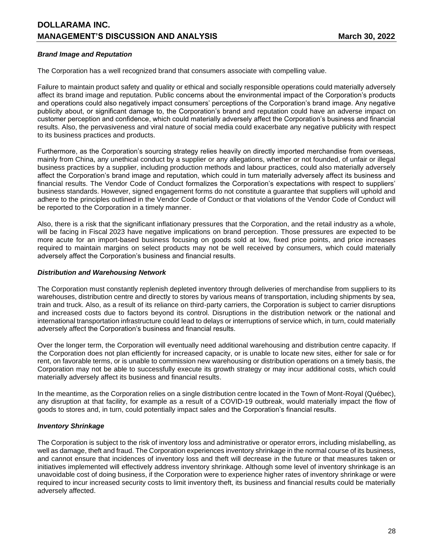## *Brand Image and Reputation*

The Corporation has a well recognized brand that consumers associate with compelling value.

Failure to maintain product safety and quality or ethical and socially responsible operations could materially adversely affect its brand image and reputation. Public concerns about the environmental impact of the Corporation's products and operations could also negatively impact consumers' perceptions of the Corporation's brand image. Any negative publicity about, or significant damage to, the Corporation's brand and reputation could have an adverse impact on customer perception and confidence, which could materially adversely affect the Corporation's business and financial results. Also, the pervasiveness and viral nature of social media could exacerbate any negative publicity with respect to its business practices and products.

Furthermore, as the Corporation's sourcing strategy relies heavily on directly imported merchandise from overseas, mainly from China, any unethical conduct by a supplier or any allegations, whether or not founded, of unfair or illegal business practices by a supplier, including production methods and labour practices, could also materially adversely affect the Corporation's brand image and reputation, which could in turn materially adversely affect its business and financial results. The Vendor Code of Conduct formalizes the Corporation's expectations with respect to suppliers' business standards. However, signed engagement forms do not constitute a guarantee that suppliers will uphold and adhere to the principles outlined in the Vendor Code of Conduct or that violations of the Vendor Code of Conduct will be reported to the Corporation in a timely manner.

Also, there is a risk that the significant inflationary pressures that the Corporation, and the retail industry as a whole, will be facing in Fiscal 2023 have negative implications on brand perception. Those pressures are expected to be more acute for an import-based business focusing on goods sold at low, fixed price points, and price increases required to maintain margins on select products may not be well received by consumers, which could materially adversely affect the Corporation's business and financial results.

#### *Distribution and Warehousing Network*

The Corporation must constantly replenish depleted inventory through deliveries of merchandise from suppliers to its warehouses, distribution centre and directly to stores by various means of transportation, including shipments by sea, train and truck. Also, as a result of its reliance on third-party carriers, the Corporation is subject to carrier disruptions and increased costs due to factors beyond its control. Disruptions in the distribution network or the national and international transportation infrastructure could lead to delays or interruptions of service which, in turn, could materially adversely affect the Corporation's business and financial results.

Over the longer term, the Corporation will eventually need additional warehousing and distribution centre capacity. If the Corporation does not plan efficiently for increased capacity, or is unable to locate new sites, either for sale or for rent, on favorable terms, or is unable to commission new warehousing or distribution operations on a timely basis, the Corporation may not be able to successfully execute its growth strategy or may incur additional costs, which could materially adversely affect its business and financial results.

In the meantime, as the Corporation relies on a single distribution centre located in the Town of Mont-Royal (Québec), any disruption at that facility, for example as a result of a COVID-19 outbreak, would materially impact the flow of goods to stores and, in turn, could potentially impact sales and the Corporation's financial results.

## *Inventory Shrinkage*

The Corporation is subject to the risk of inventory loss and administrative or operator errors, including mislabelling, as well as damage, theft and fraud. The Corporation experiences inventory shrinkage in the normal course of its business, and cannot ensure that incidences of inventory loss and theft will decrease in the future or that measures taken or initiatives implemented will effectively address inventory shrinkage. Although some level of inventory shrinkage is an unavoidable cost of doing business, if the Corporation were to experience higher rates of inventory shrinkage or were required to incur increased security costs to limit inventory theft, its business and financial results could be materially adversely affected.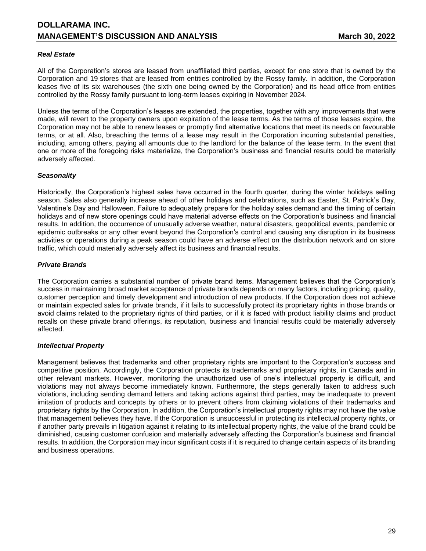## *Real Estate*

All of the Corporation's stores are leased from unaffiliated third parties, except for one store that is owned by the Corporation and 19 stores that are leased from entities controlled by the Rossy family. In addition, the Corporation leases five of its six warehouses (the sixth one being owned by the Corporation) and its head office from entities controlled by the Rossy family pursuant to long-term leases expiring in November 2024.

Unless the terms of the Corporation's leases are extended, the properties, together with any improvements that were made, will revert to the property owners upon expiration of the lease terms. As the terms of those leases expire, the Corporation may not be able to renew leases or promptly find alternative locations that meet its needs on favourable terms, or at all. Also, breaching the terms of a lease may result in the Corporation incurring substantial penalties, including, among others, paying all amounts due to the landlord for the balance of the lease term. In the event that one or more of the foregoing risks materialize, the Corporation's business and financial results could be materially adversely affected.

### *Seasonality*

Historically, the Corporation's highest sales have occurred in the fourth quarter, during the winter holidays selling season. Sales also generally increase ahead of other holidays and celebrations, such as Easter, St. Patrick's Day, Valentine's Day and Halloween. Failure to adequately prepare for the holiday sales demand and the timing of certain holidays and of new store openings could have material adverse effects on the Corporation's business and financial results. In addition, the occurrence of unusually adverse weather, natural disasters, geopolitical events, pandemic or epidemic outbreaks or any other event beyond the Corporation's control and causing any disruption in its business activities or operations during a peak season could have an adverse effect on the distribution network and on store traffic, which could materially adversely affect its business and financial results.

### *Private Brands*

The Corporation carries a substantial number of private brand items. Management believes that the Corporation's success in maintaining broad market acceptance of private brands depends on many factors, including pricing, quality, customer perception and timely development and introduction of new products. If the Corporation does not achieve or maintain expected sales for private brands, if it fails to successfully protect its proprietary rights in those brands or avoid claims related to the proprietary rights of third parties, or if it is faced with product liability claims and product recalls on these private brand offerings, its reputation, business and financial results could be materially adversely affected.

#### *Intellectual Property*

Management believes that trademarks and other proprietary rights are important to the Corporation's success and competitive position. Accordingly, the Corporation protects its trademarks and proprietary rights, in Canada and in other relevant markets. However, monitoring the unauthorized use of one's intellectual property is difficult, and violations may not always become immediately known. Furthermore, the steps generally taken to address such violations, including sending demand letters and taking actions against third parties, may be inadequate to prevent imitation of products and concepts by others or to prevent others from claiming violations of their trademarks and proprietary rights by the Corporation. In addition, the Corporation's intellectual property rights may not have the value that management believes they have. If the Corporation is unsuccessful in protecting its intellectual property rights, or if another party prevails in litigation against it relating to its intellectual property rights, the value of the brand could be diminished, causing customer confusion and materially adversely affecting the Corporation's business and financial results. In addition, the Corporation may incur significant costs if it is required to change certain aspects of its branding and business operations.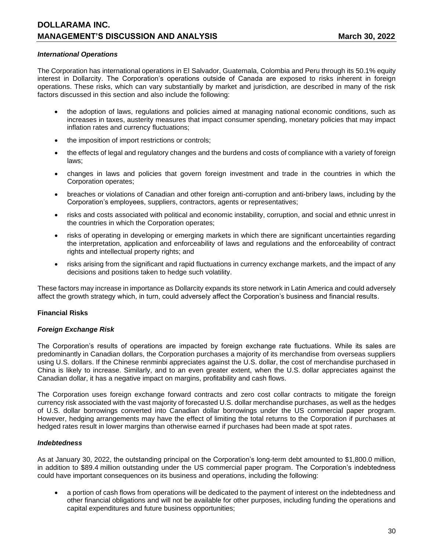### *International Operations*

The Corporation has international operations in El Salvador, Guatemala, Colombia and Peru through its 50.1% equity interest in Dollarcity. The Corporation's operations outside of Canada are exposed to risks inherent in foreign operations. These risks, which can vary substantially by market and jurisdiction, are described in many of the risk factors discussed in this section and also include the following:

- the adoption of laws, regulations and policies aimed at managing national economic conditions, such as increases in taxes, austerity measures that impact consumer spending, monetary policies that may impact inflation rates and currency fluctuations;
- the imposition of import restrictions or controls;
- the effects of legal and regulatory changes and the burdens and costs of compliance with a variety of foreign laws;
- changes in laws and policies that govern foreign investment and trade in the countries in which the Corporation operates;
- breaches or violations of Canadian and other foreign anti-corruption and anti-bribery laws, including by the Corporation's employees, suppliers, contractors, agents or representatives;
- risks and costs associated with political and economic instability, corruption, and social and ethnic unrest in the countries in which the Corporation operates;
- risks of operating in developing or emerging markets in which there are significant uncertainties regarding the interpretation, application and enforceability of laws and regulations and the enforceability of contract rights and intellectual property rights; and
- risks arising from the significant and rapid fluctuations in currency exchange markets, and the impact of any decisions and positions taken to hedge such volatility.

These factors may increase in importance as Dollarcity expands its store network in Latin America and could adversely affect the growth strategy which, in turn, could adversely affect the Corporation's business and financial results.

## **Financial Risks**

#### *Foreign Exchange Risk*

The Corporation's results of operations are impacted by foreign exchange rate fluctuations. While its sales are predominantly in Canadian dollars, the Corporation purchases a majority of its merchandise from overseas suppliers using U.S. dollars. If the Chinese renminbi appreciates against the U.S. dollar, the cost of merchandise purchased in China is likely to increase. Similarly, and to an even greater extent, when the U.S. dollar appreciates against the Canadian dollar, it has a negative impact on margins, profitability and cash flows.

The Corporation uses foreign exchange forward contracts and zero cost collar contracts to mitigate the foreign currency risk associated with the vast majority of forecasted U.S. dollar merchandise purchases, as well as the hedges of U.S. dollar borrowings converted into Canadian dollar borrowings under the US commercial paper program. However, hedging arrangements may have the effect of limiting the total returns to the Corporation if purchases at hedged rates result in lower margins than otherwise earned if purchases had been made at spot rates.

#### *Indebtedness*

As at January 30, 2022, the outstanding principal on the Corporation's long-term debt amounted to \$1,800.0 million, in addition to \$89.4 million outstanding under the US commercial paper program. The Corporation's indebtedness could have important consequences on its business and operations, including the following:

• a portion of cash flows from operations will be dedicated to the payment of interest on the indebtedness and other financial obligations and will not be available for other purposes, including funding the operations and capital expenditures and future business opportunities;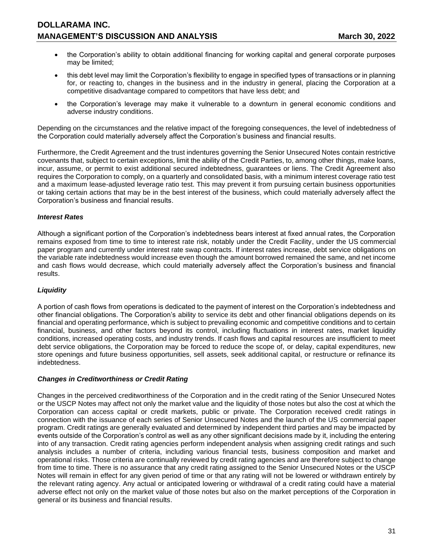- the Corporation's ability to obtain additional financing for working capital and general corporate purposes may be limited;
- this debt level may limit the Corporation's flexibility to engage in specified types of transactions or in planning for, or reacting to, changes in the business and in the industry in general, placing the Corporation at a competitive disadvantage compared to competitors that have less debt; and
- the Corporation's leverage may make it vulnerable to a downturn in general economic conditions and adverse industry conditions.

Depending on the circumstances and the relative impact of the foregoing consequences, the level of indebtedness of the Corporation could materially adversely affect the Corporation's business and financial results.

Furthermore, the Credit Agreement and the trust indentures governing the Senior Unsecured Notes contain restrictive covenants that, subject to certain exceptions, limit the ability of the Credit Parties, to, among other things, make loans, incur, assume, or permit to exist additional secured indebtedness, guarantees or liens. The Credit Agreement also requires the Corporation to comply, on a quarterly and consolidated basis, with a minimum interest coverage ratio test and a maximum lease-adjusted leverage ratio test. This may prevent it from pursuing certain business opportunities or taking certain actions that may be in the best interest of the business, which could materially adversely affect the Corporation's business and financial results.

## *Interest Rates*

Although a significant portion of the Corporation's indebtedness bears interest at fixed annual rates, the Corporation remains exposed from time to time to interest rate risk, notably under the Credit Facility, under the US commercial paper program and currently under interest rate swap contracts. If interest rates increase, debt service obligations on the variable rate indebtedness would increase even though the amount borrowed remained the same, and net income and cash flows would decrease, which could materially adversely affect the Corporation's business and financial results.

## *Liquidity*

A portion of cash flows from operations is dedicated to the payment of interest on the Corporation's indebtedness and other financial obligations. The Corporation's ability to service its debt and other financial obligations depends on its financial and operating performance, which is subject to prevailing economic and competitive conditions and to certain financial, business, and other factors beyond its control, including fluctuations in interest rates, market liquidity conditions, increased operating costs, and industry trends. If cash flows and capital resources are insufficient to meet debt service obligations, the Corporation may be forced to reduce the scope of, or delay, capital expenditures, new store openings and future business opportunities, sell assets, seek additional capital, or restructure or refinance its indebtedness.

#### *Changes in Creditworthiness or Credit Rating*

Changes in the perceived creditworthiness of the Corporation and in the credit rating of the Senior Unsecured Notes or the USCP Notes may affect not only the market value and the liquidity of those notes but also the cost at which the Corporation can access capital or credit markets, public or private. The Corporation received credit ratings in connection with the issuance of each series of Senior Unsecured Notes and the launch of the US commercial paper program. Credit ratings are generally evaluated and determined by independent third parties and may be impacted by events outside of the Corporation's control as well as any other significant decisions made by it, including the entering into of any transaction. Credit rating agencies perform independent analysis when assigning credit ratings and such analysis includes a number of criteria, including various financial tests, business composition and market and operational risks. Those criteria are continually reviewed by credit rating agencies and are therefore subject to change from time to time. There is no assurance that any credit rating assigned to the Senior Unsecured Notes or the USCP Notes will remain in effect for any given period of time or that any rating will not be lowered or withdrawn entirely by the relevant rating agency. Any actual or anticipated lowering or withdrawal of a credit rating could have a material adverse effect not only on the market value of those notes but also on the market perceptions of the Corporation in general or its business and financial results.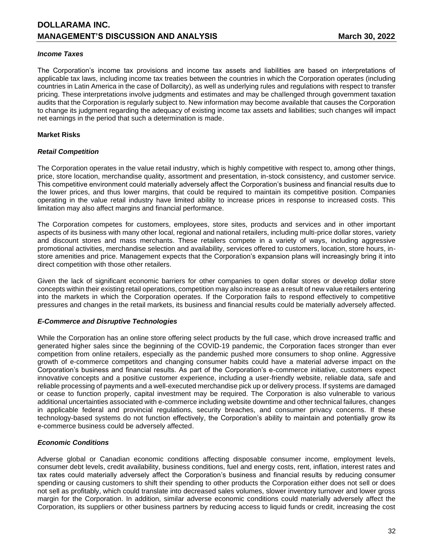### *Income Taxes*

The Corporation's income tax provisions and income tax assets and liabilities are based on interpretations of applicable tax laws, including income tax treaties between the countries in which the Corporation operates (including countries in Latin America in the case of Dollarcity), as well as underlying rules and regulations with respect to transfer pricing. These interpretations involve judgments and estimates and may be challenged through government taxation audits that the Corporation is regularly subject to. New information may become available that causes the Corporation to change its judgment regarding the adequacy of existing income tax assets and liabilities; such changes will impact net earnings in the period that such a determination is made.

### **Market Risks**

### *Retail Competition*

The Corporation operates in the value retail industry, which is highly competitive with respect to, among other things, price, store location, merchandise quality, assortment and presentation, in-stock consistency, and customer service. This competitive environment could materially adversely affect the Corporation's business and financial results due to the lower prices, and thus lower margins, that could be required to maintain its competitive position. Companies operating in the value retail industry have limited ability to increase prices in response to increased costs. This limitation may also affect margins and financial performance.

The Corporation competes for customers, employees, store sites, products and services and in other important aspects of its business with many other local, regional and national retailers, including multi-price dollar stores, variety and discount stores and mass merchants. These retailers compete in a variety of ways, including aggressive promotional activities, merchandise selection and availability, services offered to customers, location, store hours, instore amenities and price. Management expects that the Corporation's expansion plans will increasingly bring it into direct competition with those other retailers.

Given the lack of significant economic barriers for other companies to open dollar stores or develop dollar store concepts within their existing retail operations, competition may also increase as a result of new value retailers entering into the markets in which the Corporation operates. If the Corporation fails to respond effectively to competitive pressures and changes in the retail markets, its business and financial results could be materially adversely affected.

#### *E-Commerce and Disruptive Technologies*

While the Corporation has an online store offering select products by the full case, which drove increased traffic and generated higher sales since the beginning of the COVID-19 pandemic, the Corporation faces stronger than ever competition from online retailers, especially as the pandemic pushed more consumers to shop online. Aggressive growth of e-commerce competitors and changing consumer habits could have a material adverse impact on the Corporation's business and financial results. As part of the Corporation's e-commerce initiative, customers expect innovative concepts and a positive customer experience, including a user-friendly website, reliable data, safe and reliable processing of payments and a well-executed merchandise pick up or delivery process. If systems are damaged or cease to function properly, capital investment may be required. The Corporation is also vulnerable to various additional uncertainties associated with e-commerce including website downtime and other technical failures, changes in applicable federal and provincial regulations, security breaches, and consumer privacy concerns. If these technology-based systems do not function effectively, the Corporation's ability to maintain and potentially grow its e-commerce business could be adversely affected.

#### *Economic Conditions*

Adverse global or Canadian economic conditions affecting disposable consumer income, employment levels, consumer debt levels, credit availability, business conditions, fuel and energy costs, rent, inflation, interest rates and tax rates could materially adversely affect the Corporation's business and financial results by reducing consumer spending or causing customers to shift their spending to other products the Corporation either does not sell or does not sell as profitably, which could translate into decreased sales volumes, slower inventory turnover and lower gross margin for the Corporation. In addition, similar adverse economic conditions could materially adversely affect the Corporation, its suppliers or other business partners by reducing access to liquid funds or credit, increasing the cost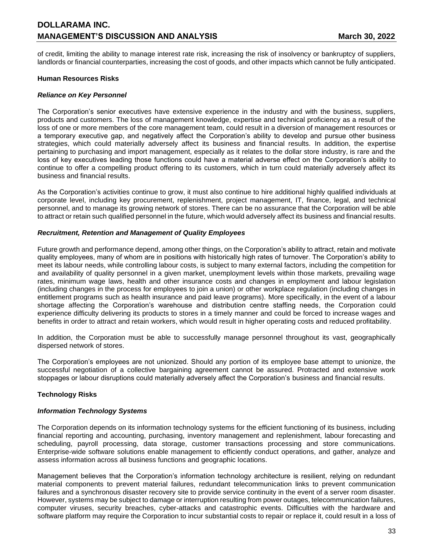of credit, limiting the ability to manage interest rate risk, increasing the risk of insolvency or bankruptcy of suppliers, landlords or financial counterparties, increasing the cost of goods, and other impacts which cannot be fully anticipated.

### **Human Resources Risks**

### *Reliance on Key Personnel*

The Corporation's senior executives have extensive experience in the industry and with the business, suppliers, products and customers. The loss of management knowledge, expertise and technical proficiency as a result of the loss of one or more members of the core management team, could result in a diversion of management resources or a temporary executive gap, and negatively affect the Corporation's ability to develop and pursue other business strategies, which could materially adversely affect its business and financial results. In addition, the expertise pertaining to purchasing and import management, especially as it relates to the dollar store industry, is rare and the loss of key executives leading those functions could have a material adverse effect on the Corporation's ability to continue to offer a compelling product offering to its customers, which in turn could materially adversely affect its business and financial results.

As the Corporation's activities continue to grow, it must also continue to hire additional highly qualified individuals at corporate level, including key procurement, replenishment, project management, IT, finance, legal, and technical personnel, and to manage its growing network of stores. There can be no assurance that the Corporation will be able to attract or retain such qualified personnel in the future, which would adversely affect its business and financial results.

#### *Recruitment, Retention and Management of Quality Employees*

Future growth and performance depend, among other things, on the Corporation's ability to attract, retain and motivate quality employees, many of whom are in positions with historically high rates of turnover. The Corporation's ability to meet its labour needs, while controlling labour costs, is subject to many external factors, including the competition for and availability of quality personnel in a given market, unemployment levels within those markets, prevailing wage rates, minimum wage laws, health and other insurance costs and changes in employment and labour legislation (including changes in the process for employees to join a union) or other workplace regulation (including changes in entitlement programs such as health insurance and paid leave programs). More specifically, in the event of a labour shortage affecting the Corporation's warehouse and distribution centre staffing needs, the Corporation could experience difficulty delivering its products to stores in a timely manner and could be forced to increase wages and benefits in order to attract and retain workers, which would result in higher operating costs and reduced profitability.

In addition, the Corporation must be able to successfully manage personnel throughout its vast, geographically dispersed network of stores.

The Corporation's employees are not unionized. Should any portion of its employee base attempt to unionize, the successful negotiation of a collective bargaining agreement cannot be assured. Protracted and extensive work stoppages or labour disruptions could materially adversely affect the Corporation's business and financial results.

## **Technology Risks**

#### *Information Technology Systems*

The Corporation depends on its information technology systems for the efficient functioning of its business, including financial reporting and accounting, purchasing, inventory management and replenishment, labour forecasting and scheduling, payroll processing, data storage, customer transactions processing and store communications. Enterprise-wide software solutions enable management to efficiently conduct operations, and gather, analyze and assess information across all business functions and geographic locations.

Management believes that the Corporation's information technology architecture is resilient, relying on redundant material components to prevent material failures, redundant telecommunication links to prevent communication failures and a synchronous disaster recovery site to provide service continuity in the event of a server room disaster. However, systems may be subject to damage or interruption resulting from power outages, telecommunication failures, computer viruses, security breaches, cyber-attacks and catastrophic events. Difficulties with the hardware and software platform may require the Corporation to incur substantial costs to repair or replace it, could result in a loss of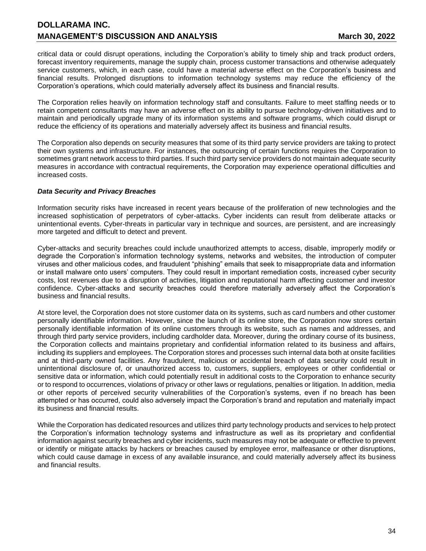critical data or could disrupt operations, including the Corporation's ability to timely ship and track product orders, forecast inventory requirements, manage the supply chain, process customer transactions and otherwise adequately service customers, which, in each case, could have a material adverse effect on the Corporation's business and financial results. Prolonged disruptions to information technology systems may reduce the efficiency of the Corporation's operations, which could materially adversely affect its business and financial results.

The Corporation relies heavily on information technology staff and consultants. Failure to meet staffing needs or to retain competent consultants may have an adverse effect on its ability to pursue technology-driven initiatives and to maintain and periodically upgrade many of its information systems and software programs, which could disrupt or reduce the efficiency of its operations and materially adversely affect its business and financial results.

The Corporation also depends on security measures that some of its third party service providers are taking to protect their own systems and infrastructure. For instances, the outsourcing of certain functions requires the Corporation to sometimes grant network access to third parties. If such third party service providers do not maintain adequate security measures in accordance with contractual requirements, the Corporation may experience operational difficulties and increased costs.

# *Data Security and Privacy Breaches*

Information security risks have increased in recent years because of the proliferation of new technologies and the increased sophistication of perpetrators of cyber-attacks. Cyber incidents can result from deliberate attacks or unintentional events. Cyber-threats in particular vary in technique and sources, are persistent, and are increasingly more targeted and difficult to detect and prevent.

Cyber-attacks and security breaches could include unauthorized attempts to access, disable, improperly modify or degrade the Corporation's information technology systems, networks and websites, the introduction of computer viruses and other malicious codes, and fraudulent "phishing" emails that seek to misappropriate data and information or install malware onto users' computers. They could result in important remediation costs, increased cyber security costs, lost revenues due to a disruption of activities, litigation and reputational harm affecting customer and investor confidence. Cyber-attacks and security breaches could therefore materially adversely affect the Corporation's business and financial results.

At store level, the Corporation does not store customer data on its systems, such as card numbers and other customer personally identifiable information. However, since the launch of its online store, the Corporation now stores certain personally identifiable information of its online customers through its website, such as names and addresses, and through third party service providers, including cardholder data. Moreover, during the ordinary course of its business, the Corporation collects and maintains proprietary and confidential information related to its business and affairs, including its suppliers and employees. The Corporation stores and processes such internal data both at onsite facilities and at third-party owned facilities. Any fraudulent, malicious or accidental breach of data security could result in unintentional disclosure of, or unauthorized access to, customers, suppliers, employees or other confidential or sensitive data or information, which could potentially result in additional costs to the Corporation to enhance security or to respond to occurrences, violations of privacy or other laws or regulations, penalties or litigation. In addition, media or other reports of perceived security vulnerabilities of the Corporation's systems, even if no breach has been attempted or has occurred, could also adversely impact the Corporation's brand and reputation and materially impact its business and financial results.

While the Corporation has dedicated resources and utilizes third party technology products and services to help protect the Corporation's information technology systems and infrastructure as well as its proprietary and confidential information against security breaches and cyber incidents, such measures may not be adequate or effective to prevent or identify or mitigate attacks by hackers or breaches caused by employee error, malfeasance or other disruptions, which could cause damage in excess of any available insurance, and could materially adversely affect its business and financial results.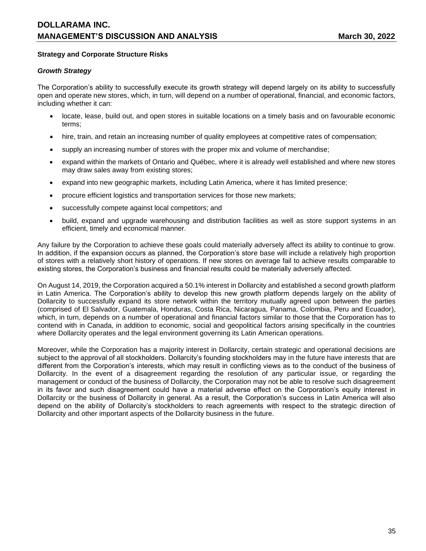## **Strategy and Corporate Structure Risks**

### *Growth Strategy*

The Corporation's ability to successfully execute its growth strategy will depend largely on its ability to successfully open and operate new stores, which, in turn, will depend on a number of operational, financial, and economic factors, including whether it can:

- locate, lease, build out, and open stores in suitable locations on a timely basis and on favourable economic terms;
- hire, train, and retain an increasing number of quality employees at competitive rates of compensation;
- supply an increasing number of stores with the proper mix and volume of merchandise;
- expand within the markets of Ontario and Québec, where it is already well established and where new stores may draw sales away from existing stores;
- expand into new geographic markets, including Latin America, where it has limited presence;
- procure efficient logistics and transportation services for those new markets;
- successfully compete against local competitors; and
- build, expand and upgrade warehousing and distribution facilities as well as store support systems in an efficient, timely and economical manner.

Any failure by the Corporation to achieve these goals could materially adversely affect its ability to continue to grow. In addition, if the expansion occurs as planned, the Corporation's store base will include a relatively high proportion of stores with a relatively short history of operations. If new stores on average fail to achieve results comparable to existing stores, the Corporation's business and financial results could be materially adversely affected.

On August 14, 2019, the Corporation acquired a 50.1% interest in Dollarcity and established a second growth platform in Latin America. The Corporation's ability to develop this new growth platform depends largely on the ability of Dollarcity to successfully expand its store network within the territory mutually agreed upon between the parties (comprised of El Salvador, Guatemala, Honduras, Costa Rica, Nicaragua, Panama, Colombia, Peru and Ecuador), which, in turn, depends on a number of operational and financial factors similar to those that the Corporation has to contend with in Canada, in addition to economic, social and geopolitical factors arising specifically in the countries where Dollarcity operates and the legal environment governing its Latin American operations.

Moreover, while the Corporation has a majority interest in Dollarcity, certain strategic and operational decisions are subject to the approval of all stockholders. Dollarcity's founding stockholders may in the future have interests that are different from the Corporation's interests, which may result in conflicting views as to the conduct of the business of Dollarcity. In the event of a disagreement regarding the resolution of any particular issue, or regarding the management or conduct of the business of Dollarcity, the Corporation may not be able to resolve such disagreement in its favor and such disagreement could have a material adverse effect on the Corporation's equity interest in Dollarcity or the business of Dollarcity in general. As a result, the Corporation's success in Latin America will also depend on the ability of Dollarcity's stockholders to reach agreements with respect to the strategic direction of Dollarcity and other important aspects of the Dollarcity business in the future.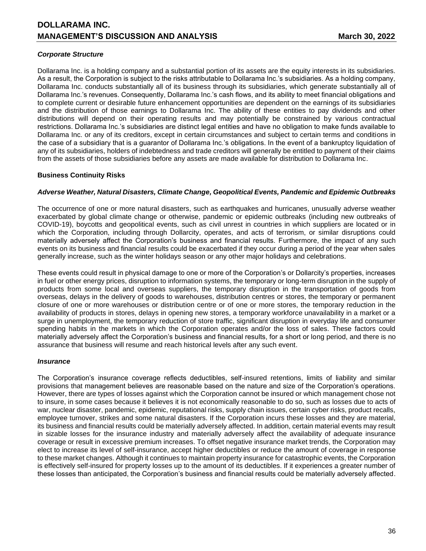## *Corporate Structure*

Dollarama Inc. is a holding company and a substantial portion of its assets are the equity interests in its subsidiaries. As a result, the Corporation is subject to the risks attributable to Dollarama Inc.'s subsidiaries. As a holding company, Dollarama Inc. conducts substantially all of its business through its subsidiaries, which generate substantially all of Dollarama Inc.'s revenues. Consequently, Dollarama Inc.'s cash flows, and its ability to meet financial obligations and to complete current or desirable future enhancement opportunities are dependent on the earnings of its subsidiaries and the distribution of those earnings to Dollarama Inc. The ability of these entities to pay dividends and other distributions will depend on their operating results and may potentially be constrained by various contractual restrictions. Dollarama Inc.'s subsidiaries are distinct legal entities and have no obligation to make funds available to Dollarama Inc. or any of its creditors, except in certain circumstances and subject to certain terms and conditions in the case of a subsidiary that is a guarantor of Dollarama Inc.'s obligations. In the event of a bankruptcy liquidation of any of its subsidiaries, holders of indebtedness and trade creditors will generally be entitled to payment of their claims from the assets of those subsidiaries before any assets are made available for distribution to Dollarama Inc.

### **Business Continuity Risks**

### *Adverse Weather, Natural Disasters, Climate Change, Geopolitical Events, Pandemic and Epidemic Outbreaks*

The occurrence of one or more natural disasters, such as earthquakes and hurricanes, unusually adverse weather exacerbated by global climate change or otherwise, pandemic or epidemic outbreaks (including new outbreaks of COVID-19), boycotts and geopolitical events, such as civil unrest in countries in which suppliers are located or in which the Corporation, including through Dollarcity, operates, and acts of terrorism, or similar disruptions could materially adversely affect the Corporation's business and financial results. Furthermore, the impact of any such events on its business and financial results could be exacerbated if they occur during a period of the year when sales generally increase, such as the winter holidays season or any other major holidays and celebrations.

These events could result in physical damage to one or more of the Corporation's or Dollarcity's properties, increases in fuel or other energy prices, disruption to information systems, the temporary or long-term disruption in the supply of products from some local and overseas suppliers, the temporary disruption in the transportation of goods from overseas, delays in the delivery of goods to warehouses, distribution centres or stores, the temporary or permanent closure of one or more warehouses or distribution centre or of one or more stores, the temporary reduction in the availability of products in stores, delays in opening new stores, a temporary workforce unavailability in a market or a surge in unemployment, the temporary reduction of store traffic, significant disruption in everyday life and consumer spending habits in the markets in which the Corporation operates and/or the loss of sales. These factors could materially adversely affect the Corporation's business and financial results, for a short or long period, and there is no assurance that business will resume and reach historical levels after any such event.

#### *Insurance*

The Corporation's insurance coverage reflects deductibles, self-insured retentions, limits of liability and similar provisions that management believes are reasonable based on the nature and size of the Corporation's operations. However, there are types of losses against which the Corporation cannot be insured or which management chose not to insure, in some cases because it believes it is not economically reasonable to do so, such as losses due to acts of war, nuclear disaster, pandemic, epidemic, reputational risks, supply chain issues, certain cyber risks, product recalls, employee turnover, strikes and some natural disasters. If the Corporation incurs these losses and they are material, its business and financial results could be materially adversely affected. In addition, certain material events may result in sizable losses for the insurance industry and materially adversely affect the availability of adequate insurance coverage or result in excessive premium increases. To offset negative insurance market trends, the Corporation may elect to increase its level of self-insurance, accept higher deductibles or reduce the amount of coverage in response to these market changes. Although it continues to maintain property insurance for catastrophic events, the Corporation is effectively self-insured for property losses up to the amount of its deductibles. If it experiences a greater number of these losses than anticipated, the Corporation's business and financial results could be materially adversely affected.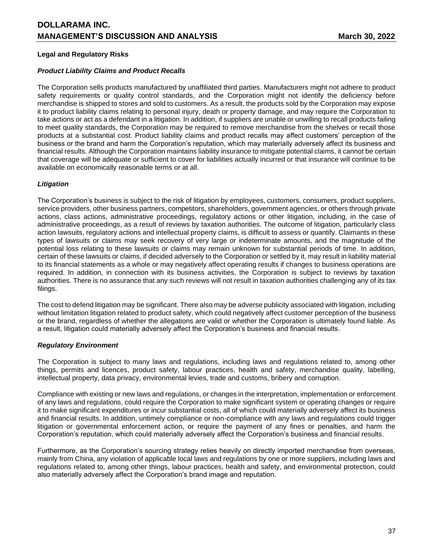## **Legal and Regulatory Risks**

## *Product Liability Claims and Product Recalls*

The Corporation sells products manufactured by unaffiliated third parties. Manufacturers might not adhere to product safety requirements or quality control standards, and the Corporation might not identify the deficiency before merchandise is shipped to stores and sold to customers. As a result, the products sold by the Corporation may expose it to product liability claims relating to personal injury, death or property damage, and may require the Corporation to take actions or act as a defendant in a litigation. In addition, if suppliers are unable or unwilling to recall products failing to meet quality standards, the Corporation may be required to remove merchandise from the shelves or recall those products at a substantial cost. Product liability claims and product recalls may affect customers' perception of the business or the brand and harm the Corporation's reputation, which may materially adversely affect its business and financial results. Although the Corporation maintains liability insurance to mitigate potential claims, it cannot be certain that coverage will be adequate or sufficient to cover for liabilities actually incurred or that insurance will continue to be available on economically reasonable terms or at all.

## *Litigation*

The Corporation's business is subject to the risk of litigation by employees, customers, consumers, product suppliers, service providers, other business partners, competitors, shareholders, government agencies, or others through private actions, class actions, administrative proceedings, regulatory actions or other litigation, including, in the case of administrative proceedings, as a result of reviews by taxation authorities. The outcome of litigation, particularly class action lawsuits, regulatory actions and intellectual property claims, is difficult to assess or quantify. Claimants in these types of lawsuits or claims may seek recovery of very large or indeterminate amounts, and the magnitude of the potential loss relating to these lawsuits or claims may remain unknown for substantial periods of time. In addition, certain of these lawsuits or claims, if decided adversely to the Corporation or settled by it, may result in liability material to its financial statements as a whole or may negatively affect operating results if changes to business operations are required. In addition, in connection with its business activities, the Corporation is subject to reviews by taxation authorities. There is no assurance that any such reviews will not result in taxation authorities challenging any of its tax filings.

The cost to defend litigation may be significant. There also may be adverse publicity associated with litigation, including without limitation litigation related to product safety, which could negatively affect customer perception of the business or the brand, regardless of whether the allegations are valid or whether the Corporation is ultimately found liable. As a result, litigation could materially adversely affect the Corporation's business and financial results.

## *Regulatory Environment*

The Corporation is subject to many laws and regulations, including laws and regulations related to, among other things, permits and licences, product safety, labour practices, health and safety, merchandise quality, labelling, intellectual property, data privacy, environmental levies, trade and customs, bribery and corruption.

Compliance with existing or new laws and regulations, or changes in the interpretation, implementation or enforcement of any laws and regulations, could require the Corporation to make significant system or operating changes or require it to make significant expenditures or incur substantial costs, all of which could materially adversely affect its business and financial results. In addition, untimely compliance or non-compliance with any laws and regulations could trigger litigation or governmental enforcement action, or require the payment of any fines or penalties, and harm the Corporation's reputation, which could materially adversely affect the Corporation's business and financial results.

Furthermore, as the Corporation's sourcing strategy relies heavily on directly imported merchandise from overseas, mainly from China, any violation of applicable local laws and regulations by one or more suppliers, including laws and regulations related to, among other things, labour practices, health and safety, and environmental protection, could also materially adversely affect the Corporation's brand image and reputation.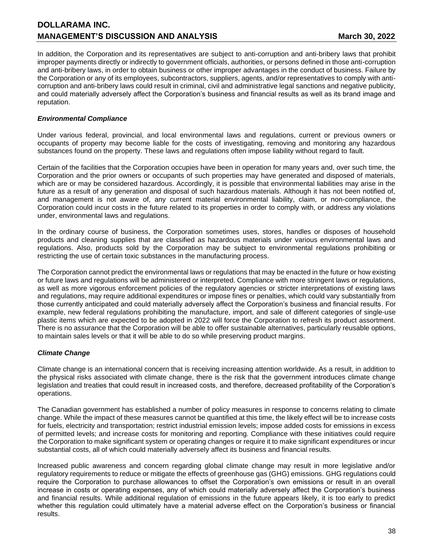In addition, the Corporation and its representatives are subject to anti-corruption and anti-bribery laws that prohibit improper payments directly or indirectly to government officials, authorities, or persons defined in those anti-corruption and anti-bribery laws, in order to obtain business or other improper advantages in the conduct of business. Failure by the Corporation or any of its employees, subcontractors, suppliers, agents, and/or representatives to comply with anticorruption and anti-bribery laws could result in criminal, civil and administrative legal sanctions and negative publicity, and could materially adversely affect the Corporation's business and financial results as well as its brand image and reputation.

## *Environmental Compliance*

Under various federal, provincial, and local environmental laws and regulations, current or previous owners or occupants of property may become liable for the costs of investigating, removing and monitoring any hazardous substances found on the property. These laws and regulations often impose liability without regard to fault.

Certain of the facilities that the Corporation occupies have been in operation for many years and, over such time, the Corporation and the prior owners or occupants of such properties may have generated and disposed of materials, which are or may be considered hazardous. Accordingly, it is possible that environmental liabilities may arise in the future as a result of any generation and disposal of such hazardous materials. Although it has not been notified of, and management is not aware of, any current material environmental liability, claim, or non-compliance, the Corporation could incur costs in the future related to its properties in order to comply with, or address any violations under, environmental laws and regulations.

In the ordinary course of business, the Corporation sometimes uses, stores, handles or disposes of household products and cleaning supplies that are classified as hazardous materials under various environmental laws and regulations. Also, products sold by the Corporation may be subject to environmental regulations prohibiting or restricting the use of certain toxic substances in the manufacturing process.

The Corporation cannot predict the environmental laws or regulations that may be enacted in the future or how existing or future laws and regulations will be administered or interpreted. Compliance with more stringent laws or regulations, as well as more vigorous enforcement policies of the regulatory agencies or stricter interpretations of existing laws and regulations, may require additional expenditures or impose fines or penalties, which could vary substantially from those currently anticipated and could materially adversely affect the Corporation's business and financial results. For example, new federal regulations prohibiting the manufacture, import, and sale of different categories of single-use plastic items which are expected to be adopted in 2022 will force the Corporation to refresh its product assortment. There is no assurance that the Corporation will be able to offer sustainable alternatives, particularly reusable options, to maintain sales levels or that it will be able to do so while preserving product margins.

## *Climate Change*

Climate change is an international concern that is receiving increasing attention worldwide. As a result, in addition to the physical risks associated with climate change, there is the risk that the government introduces climate change legislation and treaties that could result in increased costs, and therefore, decreased profitability of the Corporation's operations.

The Canadian government has established a number of policy measures in response to concerns relating to climate change. While the impact of these measures cannot be quantified at this time, the likely effect will be to increase costs for fuels, electricity and transportation; restrict industrial emission levels; impose added costs for emissions in excess of permitted levels; and increase costs for monitoring and reporting. Compliance with these initiatives could require the Corporation to make significant system or operating changes or require it to make significant expenditures or incur substantial costs, all of which could materially adversely affect its business and financial results.

Increased public awareness and concern regarding global climate change may result in more legislative and/or regulatory requirements to reduce or mitigate the effects of greenhouse gas (GHG) emissions. GHG regulations could require the Corporation to purchase allowances to offset the Corporation's own emissions or result in an overall increase in costs or operating expenses, any of which could materially adversely affect the Corporation's business and financial results. While additional regulation of emissions in the future appears likely, it is too early to predict whether this regulation could ultimately have a material adverse effect on the Corporation's business or financial results.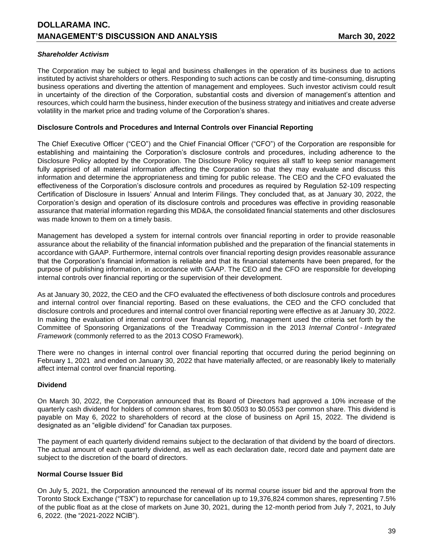### *Shareholder Activism*

The Corporation may be subject to legal and business challenges in the operation of its business due to actions instituted by activist shareholders or others. Responding to such actions can be costly and time-consuming, disrupting business operations and diverting the attention of management and employees. Such investor activism could result in uncertainty of the direction of the Corporation, substantial costs and diversion of management's attention and resources, which could harm the business, hinder execution of the business strategy and initiatives and create adverse volatility in the market price and trading volume of the Corporation's shares.

#### **Disclosure Controls and Procedures and Internal Controls over Financial Reporting**

The Chief Executive Officer ("CEO") and the Chief Financial Officer ("CFO") of the Corporation are responsible for establishing and maintaining the Corporation's disclosure controls and procedures, including adherence to the Disclosure Policy adopted by the Corporation. The Disclosure Policy requires all staff to keep senior management fully apprised of all material information affecting the Corporation so that they may evaluate and discuss this information and determine the appropriateness and timing for public release. The CEO and the CFO evaluated the effectiveness of the Corporation's disclosure controls and procedures as required by Regulation 52-109 respecting Certification of Disclosure in Issuers' Annual and Interim Filings. They concluded that, as at January 30, 2022, the Corporation's design and operation of its disclosure controls and procedures was effective in providing reasonable assurance that material information regarding this MD&A, the consolidated financial statements and other disclosures was made known to them on a timely basis.

Management has developed a system for internal controls over financial reporting in order to provide reasonable assurance about the reliability of the financial information published and the preparation of the financial statements in accordance with GAAP. Furthermore, internal controls over financial reporting design provides reasonable assurance that the Corporation's financial information is reliable and that its financial statements have been prepared, for the purpose of publishing information, in accordance with GAAP. The CEO and the CFO are responsible for developing internal controls over financial reporting or the supervision of their development.

As at January 30, 2022, the CEO and the CFO evaluated the effectiveness of both disclosure controls and procedures and internal control over financial reporting. Based on these evaluations, the CEO and the CFO concluded that disclosure controls and procedures and internal control over financial reporting were effective as at January 30, 2022. In making the evaluation of internal control over financial reporting, management used the criteria set forth by the Committee of Sponsoring Organizations of the Treadway Commission in the 2013 *Internal Control* - *Integrated Framework* (commonly referred to as the 2013 COSO Framework).

There were no changes in internal control over financial reporting that occurred during the period beginning on February 1, 2021 and ended on January 30, 2022 that have materially affected, or are reasonably likely to materially affect internal control over financial reporting.

## **Dividend**

On March 30, 2022, the Corporation announced that its Board of Directors had approved a 10% increase of the quarterly cash dividend for holders of common shares, from \$0.0503 to \$0.0553 per common share. This dividend is payable on May 6, 2022 to shareholders of record at the close of business on April 15, 2022. The dividend is designated as an "eligible dividend" for Canadian tax purposes.

The payment of each quarterly dividend remains subject to the declaration of that dividend by the board of directors. The actual amount of each quarterly dividend, as well as each declaration date, record date and payment date are subject to the discretion of the board of directors.

#### **Normal Course Issuer Bid**

On July 5, 2021, the Corporation announced the renewal of its normal course issuer bid and the approval from the Toronto Stock Exchange ("TSX") to repurchase for cancellation up to 19,376,824 common shares, representing 7.5% of the public float as at the close of markets on June 30, 2021, during the 12-month period from July 7, 2021, to July 6, 2022. (the "2021-2022 NCIB").